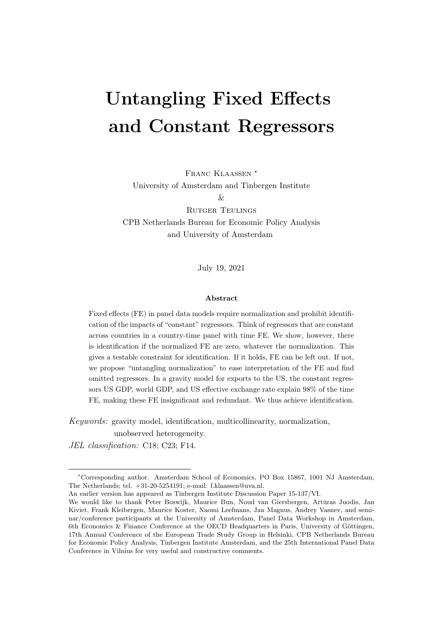# Untangling Fixed Effects and Constant Regressors

Franc Klaassen ∗ University of Amsterdam and Tinbergen Institute  $\&$ Rutger Teulings CPB Netherlands Bureau for Economic Policy Analysis and University of Amsterdam

July 19, 2021

#### Abstract

Fixed effects (FE) in panel data models require normalization and prohibit identification of the impacts of "constant" regressors. Think of regressors that are constant across countries in a country-time panel with time FE. We show, however, there is identification if the normalized FE are zero, whatever the normalization. This gives a testable constraint for identification. If it holds, FE can be left out. If not, we propose "untangling normalization" to ease interpretation of the FE and find omitted regressors. In a gravity model for exports to the US, the constant regressors US GDP, world GDP, and US effective exchange rate explain 98% of the time FE, making these FE insignificant and redundant. We thus achieve identification.

Keywords: gravity model, identification, multicollinearity, normalization, unobserved heterogeneity.

JEL classification: C18; C23; F14.

An earlier version has appeared as Tinbergen Institute Discussion Paper 15-137/VI.

<sup>∗</sup>Corresponding author. Amsterdam School of Economics, PO Box 15867, 1001 NJ Amsterdam, The Netherlands; tel. +31-20-5254191; e-mail: f.klaassen@uva.nl.

We would like to thank Peter Boswijk, Maurice Bun, Noud van Giersbergen, Artūras Juodis, Jan Kiviet, Frank Kleibergen, Maurice Koster, Naomi Leefmans, Jan Magnus, Andrey Vasnev, and seminar/conference participants at the University of Amsterdam, Panel Data Workshop in Amsterdam, 6th Economics & Finance Conference at the OECD Headquarters in Paris, University of Göttingen, 17th Annual Conference of the European Trade Study Group in Helsinki, CPB Netherlands Bureau for Economic Policy Analysis, Tinbergen Institute Amsterdam, and the 25th International Panel Data Conference in Vilnius for very useful and constructive comments.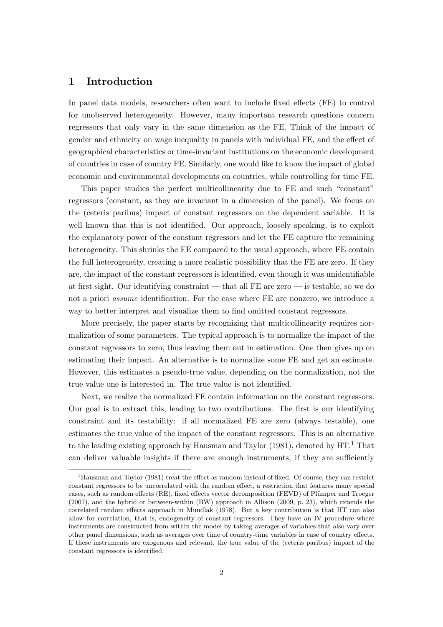## 1 Introduction

In panel data models, researchers often want to include fixed effects (FE) to control for unobserved heterogeneity. However, many important research questions concern regressors that only vary in the same dimension as the FE. Think of the impact of gender and ethnicity on wage inequality in panels with individual FE, and the effect of geographical characteristics or time-invariant institutions on the economic development of countries in case of country FE. Similarly, one would like to know the impact of global economic and environmental developments on countries, while controlling for time FE.

This paper studies the perfect multicollinearity due to FE and such "constant" regressors (constant, as they are invariant in a dimension of the panel). We focus on the (ceteris paribus) impact of constant regressors on the dependent variable. It is well known that this is not identified. Our approach, loosely speaking, is to exploit the explanatory power of the constant regressors and let the FE capture the remaining heterogeneity. This shrinks the FE compared to the usual approach, where FE contain the full heterogeneity, creating a more realistic possibility that the FE are zero. If they are, the impact of the constant regressors is identified, even though it was unidentifiable at first sight. Our identifying constraint — that all FE are zero — is testable, so we do not a priori assume identification. For the case where FE are nonzero, we introduce a way to better interpret and visualize them to find omitted constant regressors.

More precisely, the paper starts by recognizing that multicollinearity requires normalization of some parameters. The typical approach is to normalize the impact of the constant regressors to zero, thus leaving them out in estimation. One then gives up on estimating their impact. An alternative is to normalize some FE and get an estimate. However, this estimates a pseudo-true value, depending on the normalization, not the true value one is interested in. The true value is not identified.

Next, we realize the normalized FE contain information on the constant regressors. Our goal is to extract this, leading to two contributions. The first is our identifying constraint and its testability: if all normalized FE are zero (always testable), one estimates the true value of the impact of the constant regressors. This is an alternative to the leading existing approach by Hausman and Taylor (1981), denoted by  $HT<sup>1</sup>$  That can deliver valuable insights if there are enough instruments, if they are sufficiently

<sup>1</sup>Hausman and Taylor (1981) treat the effect as random instead of fixed. Of course, they can restrict constant regressors to be uncorrelated with the random effect, a restriction that features many special cases, such as random effects (RE), fixed effects vector decomposition (FEVD) of Plümper and Troeger (2007), and the hybrid or between-within (BW) approach in Allison (2009, p. 23), which extends the correlated random effects approach in Mundlak (1978). But a key contribution is that HT can also allow for correlation, that is, endogeneity of constant regressors. They have an IV procedure where instruments are constructed from within the model by taking averages of variables that also vary over other panel dimensions, such as averages over time of country-time variables in case of country effects. If these instruments are exogenous and relevant, the true value of the (ceteris paribus) impact of the constant regressors is identified.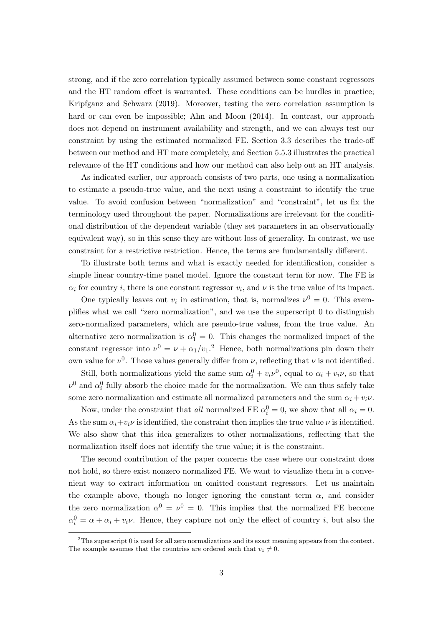strong, and if the zero correlation typically assumed between some constant regressors and the HT random effect is warranted. These conditions can be hurdles in practice; Kripfganz and Schwarz (2019). Moreover, testing the zero correlation assumption is hard or can even be impossible; Ahn and Moon  $(2014)$ . In contrast, our approach does not depend on instrument availability and strength, and we can always test our constraint by using the estimated normalized FE. Section 3.3 describes the trade-off between our method and HT more completely, and Section 5.5.3 illustrates the practical relevance of the HT conditions and how our method can also help out an HT analysis.

As indicated earlier, our approach consists of two parts, one using a normalization to estimate a pseudo-true value, and the next using a constraint to identify the true value. To avoid confusion between "normalization" and "constraint", let us fix the terminology used throughout the paper. Normalizations are irrelevant for the conditional distribution of the dependent variable (they set parameters in an observationally equivalent way), so in this sense they are without loss of generality. In contrast, we use constraint for a restrictive restriction. Hence, the terms are fundamentally different.

To illustrate both terms and what is exactly needed for identification, consider a simple linear country-time panel model. Ignore the constant term for now. The FE is  $\alpha_i$  for country *i*, there is one constant regressor  $v_i$ , and  $\nu$  is the true value of its impact.

One typically leaves out  $v_i$  in estimation, that is, normalizes  $\nu^0 = 0$ . This exemplifies what we call "zero normalization", and we use the superscript 0 to distinguish zero-normalized parameters, which are pseudo-true values, from the true value. An alternative zero normalization is  $\alpha_1^0 = 0$ . This changes the normalized impact of the constant regressor into  $\nu^0 = \nu + \alpha_1/v_1$ <sup>2</sup>. Hence, both normalizations pin down their own value for  $\nu^0$ . Those values generally differ from  $\nu$ , reflecting that  $\nu$  is not identified.

Still, both normalizations yield the same sum  $\alpha_i^0 + v_i v^0$ , equal to  $\alpha_i + v_i v$ , so that  $\nu^0$  and  $\alpha_i^0$  fully absorb the choice made for the normalization. We can thus safely take some zero normalization and estimate all normalized parameters and the sum  $\alpha_i + v_i \nu$ .

Now, under the constraint that all normalized FE  $\alpha_i^0 = 0$ , we show that all  $\alpha_i = 0$ . As the sum  $\alpha_i + v_i \nu$  is identified, the constraint then implies the true value  $\nu$  is identified. We also show that this idea generalizes to other normalizations, reflecting that the normalization itself does not identify the true value; it is the constraint.

The second contribution of the paper concerns the case where our constraint does not hold, so there exist nonzero normalized FE. We want to visualize them in a convenient way to extract information on omitted constant regressors. Let us maintain the example above, though no longer ignoring the constant term  $\alpha$ , and consider the zero normalization  $\alpha^0 = \nu^0 = 0$ . This implies that the normalized FE become  $\alpha_i^0 = \alpha + \alpha_i + v_i \nu$ . Hence, they capture not only the effect of country *i*, but also the

<sup>2</sup>The superscript 0 is used for all zero normalizations and its exact meaning appears from the context. The example assumes that the countries are ordered such that  $v_1 \neq 0$ .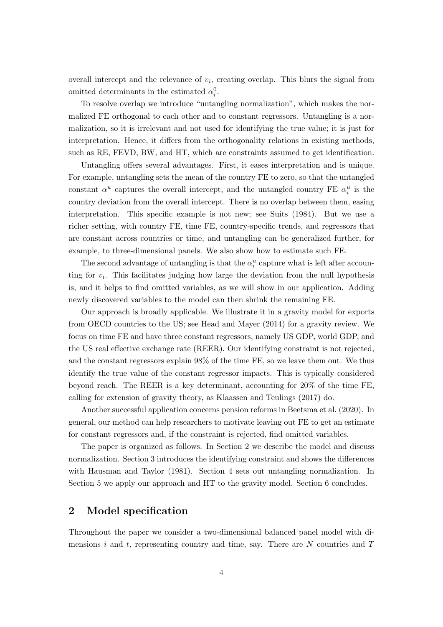overall intercept and the relevance of  $v_i$ , creating overlap. This blurs the signal from omitted determinants in the estimated  $\alpha_i^0$ .

To resolve overlap we introduce "untangling normalization", which makes the normalized FE orthogonal to each other and to constant regressors. Untangling is a normalization, so it is irrelevant and not used for identifying the true value; it is just for interpretation. Hence, it differs from the orthogonality relations in existing methods, such as RE, FEVD, BW, and HT, which are constraints assumed to get identification.

Untangling offers several advantages. First, it eases interpretation and is unique. For example, untangling sets the mean of the country FE to zero, so that the untangled constant  $\alpha^u$  captures the overall intercept, and the untangled country FE  $\alpha_i^u$  is the country deviation from the overall intercept. There is no overlap between them, easing interpretation. This specific example is not new; see Suits (1984). But we use a richer setting, with country FE, time FE, country-specific trends, and regressors that are constant across countries or time, and untangling can be generalized further, for example, to three-dimensional panels. We also show how to estimate such FE.

The second advantage of untangling is that the  $\alpha_i^u$  capture what is left after accounting for  $v_i$ . This facilitates judging how large the deviation from the null hypothesis is, and it helps to find omitted variables, as we will show in our application. Adding newly discovered variables to the model can then shrink the remaining FE.

Our approach is broadly applicable. We illustrate it in a gravity model for exports from OECD countries to the US; see Head and Mayer (2014) for a gravity review. We focus on time FE and have three constant regressors, namely US GDP, world GDP, and the US real effective exchange rate (REER). Our identifying constraint is not rejected, and the constant regressors explain 98% of the time FE, so we leave them out. We thus identify the true value of the constant regressor impacts. This is typically considered beyond reach. The REER is a key determinant, accounting for 20% of the time FE, calling for extension of gravity theory, as Klaassen and Teulings (2017) do.

Another successful application concerns pension reforms in Beetsma et al. (2020). In general, our method can help researchers to motivate leaving out FE to get an estimate for constant regressors and, if the constraint is rejected, find omitted variables.

The paper is organized as follows. In Section 2 we describe the model and discuss normalization. Section 3 introduces the identifying constraint and shows the differences with Hausman and Taylor (1981). Section 4 sets out untangling normalization. In Section 5 we apply our approach and HT to the gravity model. Section 6 concludes.

## 2 Model specification

Throughout the paper we consider a two-dimensional balanced panel model with dimensions i and t, representing country and time, say. There are  $N$  countries and  $T$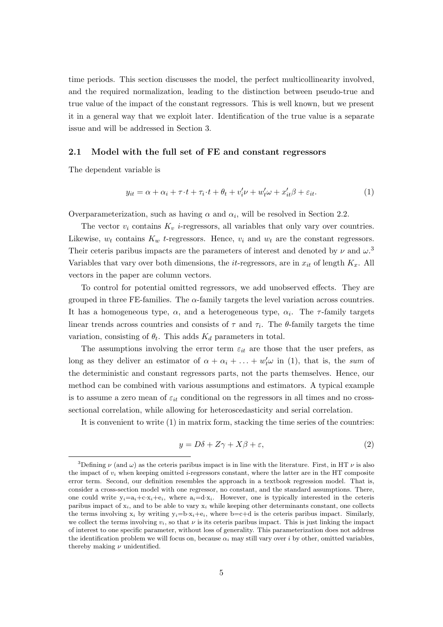time periods. This section discusses the model, the perfect multicollinearity involved, and the required normalization, leading to the distinction between pseudo-true and true value of the impact of the constant regressors. This is well known, but we present it in a general way that we exploit later. Identification of the true value is a separate issue and will be addressed in Section 3.

#### 2.1 Model with the full set of FE and constant regressors

The dependent variable is

$$
y_{it} = \alpha + \alpha_i + \tau \cdot t + \tau_i \cdot t + \theta_t + v'_i \nu + w'_t \omega + x'_{it} \beta + \varepsilon_{it}.
$$

$$
\tag{1}
$$

Overparameterization, such as having  $\alpha$  and  $\alpha_i$ , will be resolved in Section 2.2.

The vector  $v_i$  contains  $K_v$  *i*-regressors, all variables that only vary over countries. Likewise,  $w_t$  contains  $K_w$  t-regressors. Hence,  $v_i$  and  $w_t$  are the constant regressors. Their ceteris paribus impacts are the parameters of interest and denoted by  $\nu$  and  $\omega$ .<sup>3</sup> Variables that vary over both dimensions, the *it*-regressors, are in  $x_{it}$  of length  $K_x$ . All vectors in the paper are column vectors.

To control for potential omitted regressors, we add unobserved effects. They are grouped in three FE-families. The  $\alpha$ -family targets the level variation across countries. It has a homogeneous type,  $\alpha$ , and a heterogeneous type,  $\alpha_i$ . The  $\tau$ -family targets linear trends across countries and consists of  $\tau$  and  $\tau_i$ . The  $\theta$ -family targets the time variation, consisting of  $\theta_t$ . This adds  $K_d$  parameters in total.

The assumptions involving the error term  $\varepsilon_{it}$  are those that the user prefers, as long as they deliver an estimator of  $\alpha + \alpha_i + \ldots + w'_i \omega$  in (1), that is, the sum of the deterministic and constant regressors parts, not the parts themselves. Hence, our method can be combined with various assumptions and estimators. A typical example is to assume a zero mean of  $\varepsilon_{it}$  conditional on the regressors in all times and no crosssectional correlation, while allowing for heteroscedasticity and serial correlation.

It is convenient to write (1) in matrix form, stacking the time series of the countries:

$$
y = D\delta + Z\gamma + X\beta + \varepsilon,\tag{2}
$$

<sup>&</sup>lt;sup>3</sup>Defining  $\nu$  (and  $\omega$ ) as the ceteris paribus impact is in line with the literature. First, in HT  $\nu$  is also the impact of  $v_i$  when keeping omitted *i*-regressors constant, where the latter are in the HT composite error term. Second, our definition resembles the approach in a textbook regression model. That is, consider a cross-section model with one regressor, no constant, and the standard assumptions. There, one could write  $y_i=a_i+c\cdot x_i+e_i$ , where  $a_i=d\cdot x_i$ . However, one is typically interested in the ceteris paribus impact of  $x_i$ , and to be able to vary  $x_i$  while keeping other determinants constant, one collects the terms involving  $x_i$  by writing  $y_i = b \cdot x_i + e_i$ , where  $b = c + d$  is the ceteris paribus impact. Similarly, we collect the terms involving  $v_i$ , so that  $\nu$  is its ceteris paribus impact. This is just linking the impact of interest to one specific parameter, without loss of generality. This parameterization does not address the identification problem we will focus on, because  $\alpha_i$  may still vary over i by other, omitted variables, thereby making  $\nu$  unidentified.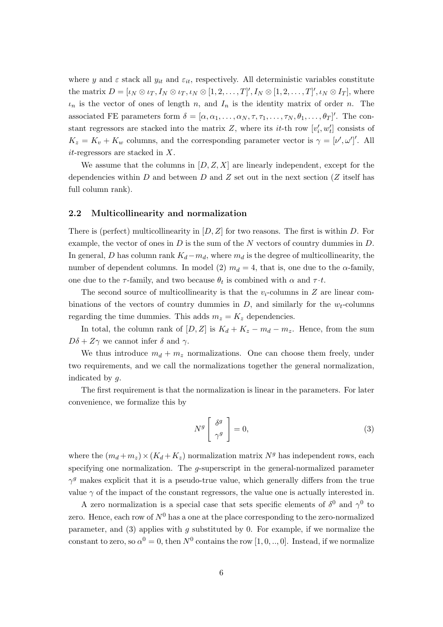where y and  $\varepsilon$  stack all  $y_{it}$  and  $\varepsilon_{it}$ , respectively. All deterministic variables constitute the matrix  $D = [\iota_N \otimes \iota_T, I_N \otimes \iota_T, \iota_N \otimes [1, 2, \ldots, T]', I_N \otimes [1, 2, \ldots, T]', \iota_N \otimes I_T],$  where  $\iota_n$  is the vector of ones of length n, and  $I_n$  is the identity matrix of order n. The associated FE parameters form  $\delta = [\alpha, \alpha_1, \dots, \alpha_N, \tau, \tau_1, \dots, \tau_N, \theta_1, \dots, \theta_T]'$ . The constant regressors are stacked into the matrix Z, where its  $it$ -th row  $[v'_i, w'_i]$  consists of  $K_z = K_v + K_w$  columns, and the corresponding parameter vector is  $\gamma = [\nu', \omega']'$ . All it-regressors are stacked in X.

We assume that the columns in  $[D, Z, X]$  are linearly independent, except for the dependencies within D and between D and Z set out in the next section (Z itself has full column rank).

#### 2.2 Multicollinearity and normalization

There is (perfect) multicollinearity in  $[D, Z]$  for two reasons. The first is within D. For example, the vector of ones in  $D$  is the sum of the  $N$  vectors of country dummies in  $D$ . In general, D has column rank  $K_d-m_d$ , where  $m_d$  is the degree of multicollinearity, the number of dependent columns. In model (2)  $m_d = 4$ , that is, one due to the  $\alpha$ -family, one due to the  $\tau$ -family, and two because  $\theta_t$  is combined with  $\alpha$  and  $\tau \cdot t$ .

The second source of multicollinearity is that the  $v_i$ -columns in Z are linear combinations of the vectors of country dummies in  $D$ , and similarly for the  $w_t$ -columns regarding the time dummies. This adds  $m_z = K_z$  dependencies.

In total, the column rank of  $[D, Z]$  is  $K_d + K_z - m_d - m_z$ . Hence, from the sum  $D\delta + Z\gamma$  we cannot infer  $\delta$  and  $\gamma$ .

We thus introduce  $m_d + m_z$  normalizations. One can choose them freely, under two requirements, and we call the normalizations together the general normalization, indicated by g.

The first requirement is that the normalization is linear in the parameters. For later convenience, we formalize this by

$$
N^g \left[ \begin{array}{c} \delta^g \\ \gamma^g \end{array} \right] = 0, \tag{3}
$$

where the  $(m_d + m_z) \times (K_d + K_z)$  normalization matrix  $N<sup>g</sup>$  has independent rows, each specifying one normalization. The g-superscript in the general-normalized parameter  $\gamma^g$  makes explicit that it is a pseudo-true value, which generally differs from the true value  $\gamma$  of the impact of the constant regressors, the value one is actually interested in.

A zero normalization is a special case that sets specific elements of  $\delta^0$  and  $\gamma^0$  to zero. Hence, each row of  $N^0$  has a one at the place corresponding to the zero-normalized parameter, and  $(3)$  applies with g substituted by 0. For example, if we normalize the constant to zero, so  $\alpha^0 = 0$ , then  $N^0$  contains the row  $[1, 0, ..., 0]$ . Instead, if we normalize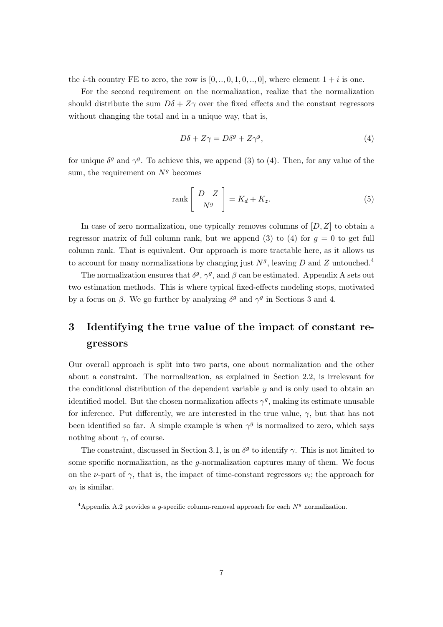the *i*-th country FE to zero, the row is  $[0, ..., 0, 1, 0, ..., 0]$ , where element  $1 + i$  is one.

For the second requirement on the normalization, realize that the normalization should distribute the sum  $D\delta + Z\gamma$  over the fixed effects and the constant regressors without changing the total and in a unique way, that is,

$$
D\delta + Z\gamma = D\delta^g + Z\gamma^g,\tag{4}
$$

for unique  $\delta^g$  and  $\gamma^g$ . To achieve this, we append (3) to (4). Then, for any value of the sum, the requirement on  $N<sup>g</sup>$  becomes

$$
\operatorname{rank}\left[\begin{array}{c}D\ Z\\N^g\end{array}\right]=K_d+K_z.\tag{5}
$$

In case of zero normalization, one typically removes columns of  $[D, Z]$  to obtain a regressor matrix of full column rank, but we append (3) to (4) for  $g = 0$  to get full column rank. That is equivalent. Our approach is more tractable here, as it allows us to account for many normalizations by changing just  $N<sup>g</sup>$ , leaving D and Z untouched.<sup>4</sup>

The normalization ensures that  $\delta^g$ ,  $\gamma^g$ , and  $\beta$  can be estimated. Appendix A sets out two estimation methods. This is where typical fixed-effects modeling stops, motivated by a focus on  $\beta$ . We go further by analyzing  $\delta^g$  and  $\gamma^g$  in Sections 3 and 4.

## 3 Identifying the true value of the impact of constant regressors

Our overall approach is split into two parts, one about normalization and the other about a constraint. The normalization, as explained in Section 2.2, is irrelevant for the conditional distribution of the dependent variable  $y$  and is only used to obtain an identified model. But the chosen normalization affects  $\gamma^g$ , making its estimate unusable for inference. Put differently, we are interested in the true value,  $\gamma$ , but that has not been identified so far. A simple example is when  $\gamma^g$  is normalized to zero, which says nothing about  $\gamma$ , of course.

The constraint, discussed in Section 3.1, is on  $\delta^g$  to identify  $\gamma$ . This is not limited to some specific normalization, as the g-normalization captures many of them. We focus on the  $\nu$ -part of  $\gamma$ , that is, the impact of time-constant regressors  $v_i$ ; the approach for  $w_t$  is similar.

<sup>&</sup>lt;sup>4</sup>Appendix A.2 provides a g-specific column-removal approach for each  $N<sup>g</sup>$  normalization.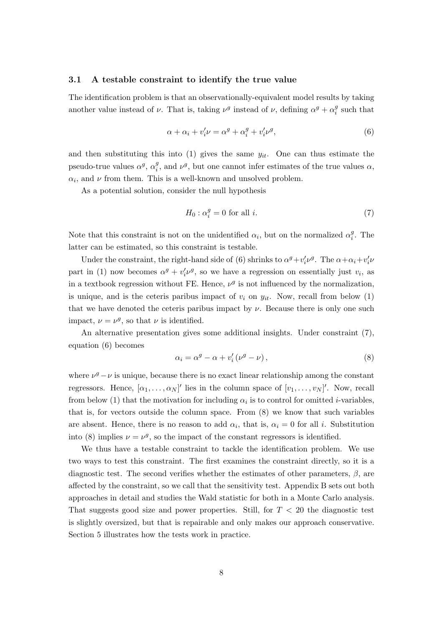#### 3.1 A testable constraint to identify the true value

The identification problem is that an observationally-equivalent model results by taking another value instead of  $\nu$ . That is, taking  $\nu^g$  instead of  $\nu$ , defining  $\alpha^g + \alpha_i^g$  $i^g$  such that

$$
\alpha + \alpha_i + v_i' \nu = \alpha^g + \alpha_i^g + v_i' \nu^g,\tag{6}
$$

and then substituting this into (1) gives the same  $y_{it}$ . One can thus estimate the pseudo-true values  $\alpha^g$ ,  $\alpha_i^g$  $_i^g$ , and  $\nu^g$ , but one cannot infer estimates of the true values  $\alpha$ ,  $\alpha_i$ , and  $\nu$  from them. This is a well-known and unsolved problem.

As a potential solution, consider the null hypothesis

$$
H_0: \alpha_i^g = 0 \text{ for all } i. \tag{7}
$$

Note that this constraint is not on the unidentified  $\alpha_i$ , but on the normalized  $\alpha_i^g$  $i<sup>g</sup>$ . The latter can be estimated, so this constraint is testable.

Under the constraint, the right-hand side of (6) shrinks to  $\alpha^g + v'_i v^g$ . The  $\alpha + \alpha_i + v'_i v^g$ part in (1) now becomes  $\alpha^g + v'_i v^g$ , so we have a regression on essentially just  $v_i$ , as in a textbook regression without FE. Hence,  $\nu^g$  is not influenced by the normalization, is unique, and is the ceteris paribus impact of  $v_i$  on  $y_{it}$ . Now, recall from below (1) that we have denoted the ceteris paribus impact by  $\nu$ . Because there is only one such impact,  $\nu = \nu^g$ , so that  $\nu$  is identified.

An alternative presentation gives some additional insights. Under constraint (7), equation (6) becomes

$$
\alpha_i = \alpha^g - \alpha + v_i'(\nu^g - \nu), \qquad (8)
$$

where  $\nu^g - \nu$  is unique, because there is no exact linear relationship among the constant regressors. Hence,  $[\alpha_1, \ldots, \alpha_N]'$  lies in the column space of  $[v_1, \ldots, v_N]'$ . Now, recall from below (1) that the motivation for including  $\alpha_i$  is to control for omitted *i*-variables, that is, for vectors outside the column space. From (8) we know that such variables are absent. Hence, there is no reason to add  $\alpha_i$ , that is,  $\alpha_i = 0$  for all i. Substitution into (8) implies  $\nu = \nu^g$ , so the impact of the constant regressors is identified.

We thus have a testable constraint to tackle the identification problem. We use two ways to test this constraint. The first examines the constraint directly, so it is a diagnostic test. The second verifies whether the estimates of other parameters,  $\beta$ , are affected by the constraint, so we call that the sensitivity test. Appendix B sets out both approaches in detail and studies the Wald statistic for both in a Monte Carlo analysis. That suggests good size and power properties. Still, for  $T < 20$  the diagnostic test is slightly oversized, but that is repairable and only makes our approach conservative. Section 5 illustrates how the tests work in practice.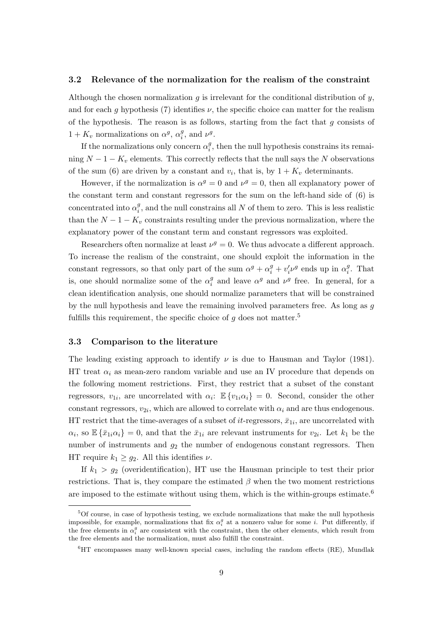#### 3.2 Relevance of the normalization for the realism of the constraint

Although the chosen normalization q is irrelevant for the conditional distribution of  $y$ , and for each g hypothesis (7) identifies  $\nu$ , the specific choice can matter for the realism of the hypothesis. The reason is as follows, starting from the fact that  $q$  consists of  $1 + K_v$  normalizations on  $\alpha^g$ ,  $\alpha_i^g$  $_i^g$ , and  $\nu^g$ .

If the normalizations only concern  $\alpha_i^g$  $i<sub>i</sub>$ , then the null hypothesis constrains its remaining  $N-1-K_v$  elements. This correctly reflects that the null says the N observations of the sum (6) are driven by a constant and  $v_i$ , that is, by  $1 + K_v$  determinants.

However, if the normalization is  $\alpha^g = 0$  and  $\nu^g = 0$ , then all explanatory power of the constant term and constant regressors for the sum on the left-hand side of (6) is concentrated into  $\alpha_i^g$  $i<sub>i</sub>$ , and the null constrains all N of them to zero. This is less realistic than the  $N-1-K_v$  constraints resulting under the previous normalization, where the explanatory power of the constant term and constant regressors was exploited.

Researchers often normalize at least  $\nu^g = 0$ . We thus advocate a different approach. To increase the realism of the constraint, one should exploit the information in the constant regressors, so that only part of the sum  $\alpha^g + \alpha_i^g + v_i' \nu^g$  ends up in  $\alpha_i^g$  $i<sup>g</sup>$ . That is, one should normalize some of the  $\alpha_i^g$ <sup>g</sup> and leave  $\alpha^g$  and  $\nu^g$  free. In general, for a clean identification analysis, one should normalize parameters that will be constrained by the null hypothesis and leave the remaining involved parameters free. As long as  $q$ fulfills this requirement, the specific choice of  $g$  does not matter.<sup>5</sup>

#### 3.3 Comparison to the literature

The leading existing approach to identify  $\nu$  is due to Hausman and Taylor (1981). HT treat  $\alpha_i$  as mean-zero random variable and use an IV procedure that depends on the following moment restrictions. First, they restrict that a subset of the constant regressors,  $v_{1i}$ , are uncorrelated with  $\alpha_i$ :  $\mathbb{E}\left\{v_{1i}\alpha_i\right\} = 0$ . Second, consider the other constant regressors,  $v_{2i}$ , which are allowed to correlate with  $\alpha_i$  and are thus endogenous. HT restrict that the time-averages of a subset of *it*-regressors,  $\bar{x}_{1i}$ , are uncorrelated with  $\alpha_i$ , so  $\mathbb{E}\{\bar{x}_{1i}\alpha_i\} = 0$ , and that the  $\bar{x}_{1i}$  are relevant instruments for  $v_{2i}$ . Let  $k_1$  be the number of instruments and  $g_2$  the number of endogenous constant regressors. Then HT require  $k_1 \geq g_2$ . All this identifies  $\nu$ .

If  $k_1 > g_2$  (overidentification), HT use the Hausman principle to test their prior restrictions. That is, they compare the estimated  $\beta$  when the two moment restrictions are imposed to the estimate without using them, which is the within-groups estimate.<sup>6</sup>

<sup>5</sup>Of course, in case of hypothesis testing, we exclude normalizations that make the null hypothesis impossible, for example, normalizations that fix  $\alpha_i^g$  at a nonzero value for some *i*. Put differently, if the free elements in  $\alpha_i^g$  are consistent with the constraint, then the other elements, which result from the free elements and the normalization, must also fulfill the constraint.

 ${}^{6}$ HT encompasses many well-known special cases, including the random effects (RE), Mundlak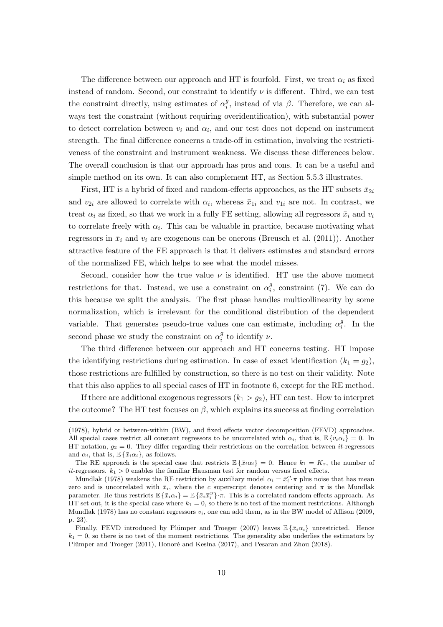The difference between our approach and HT is fourfold. First, we treat  $\alpha_i$  as fixed instead of random. Second, our constraint to identify  $\nu$  is different. Third, we can test the constraint directly, using estimates of  $\alpha_i^g$  $i<sub>i</sub>$ , instead of via  $\beta$ . Therefore, we can always test the constraint (without requiring overidentification), with substantial power to detect correlation between  $v_i$  and  $\alpha_i$ , and our test does not depend on instrument strength. The final difference concerns a trade-off in estimation, involving the restrictiveness of the constraint and instrument weakness. We discuss these differences below. The overall conclusion is that our approach has pros and cons. It can be a useful and simple method on its own. It can also complement HT, as Section 5.5.3 illustrates.

First, HT is a hybrid of fixed and random-effects approaches, as the HT subsets  $\bar{x}_{2i}$ and  $v_{2i}$  are allowed to correlate with  $\alpha_i$ , whereas  $\bar{x}_{1i}$  and  $v_{1i}$  are not. In contrast, we treat  $\alpha_i$  as fixed, so that we work in a fully FE setting, allowing all regressors  $\bar{x}_i$  and  $v_i$ to correlate freely with  $\alpha_i$ . This can be valuable in practice, because motivating what regressors in  $\bar{x}_i$  and  $v_i$  are exogenous can be onerous (Breusch et al. (2011)). Another attractive feature of the FE approach is that it delivers estimates and standard errors of the normalized FE, which helps to see what the model misses.

Second, consider how the true value  $\nu$  is identified. HT use the above moment restrictions for that. Instead, we use a constraint on  $\alpha_i^g$  $i<sub>i</sub>$ , constraint (7). We can do this because we split the analysis. The first phase handles multicollinearity by some normalization, which is irrelevant for the conditional distribution of the dependent variable. That generates pseudo-true values one can estimate, including  $\alpha_i^g$  $i<sup>g</sup>$ . In the second phase we study the constraint on  $\alpha_i^g$  $_i^g$  to identify  $\nu$ .

The third difference between our approach and HT concerns testing. HT impose the identifying restrictions during estimation. In case of exact identification  $(k_1 = g_2)$ , those restrictions are fulfilled by construction, so there is no test on their validity. Note that this also applies to all special cases of HT in footnote 6, except for the RE method.

If there are additional exogenous regressors  $(k_1 > g_2)$ , HT can test. How to interpret the outcome? The HT test focuses on  $\beta$ , which explains its success at finding correlation

<sup>(1978),</sup> hybrid or between-within (BW), and fixed effects vector decomposition (FEVD) approaches. All special cases restrict all constant regressors to be uncorrelated with  $\alpha_i$ , that is,  $\mathbb{E}\{v_i\alpha_i\} = 0$ . In HT notation,  $g_2 = 0$ . They differ regarding their restrictions on the correlation between *it*-regressors and  $\alpha_i$ , that is,  $\mathbb{E}\left\{\bar{x}_i\alpha_i\right\}$ , as follows.

The RE approach is the special case that restricts  $\mathbb{E}\{\bar{x}_i\alpha_i\} = 0$ . Hence  $k_1 = K_x$ , the number of it-regressors.  $k_1 > 0$  enables the familiar Hausman test for random versus fixed effects.

Mundlak (1978) weakens the RE restriction by auxiliary model  $\alpha_i = \bar{x}_i^{c'} \pi$  plus noise that has mean zero and is uncorrelated with  $\bar{x}_i$ , where the c superscript denotes centering and  $\pi$  is the Mundlak parameter. He thus restricts  $\mathbb{E}\left\{\bar{x}_i \alpha_i\right\} = \mathbb{E}\left\{\bar{x}_i \bar{x}_i^{c'}\right\} \cdot \pi$ . This is a correlated random effects approach. As HT set out, it is the special case where  $k_1 = 0$ , so there is no test of the moment restrictions. Although Mundlak (1978) has no constant regressors  $v_i$ , one can add them, as in the BW model of Allison (2009, p. 23).

Finally, FEVD introduced by Plümper and Troeger (2007) leaves  $\mathbb{E}\left\{\bar{x}_i\alpha_i\right\}$  unrestricted. Hence  $k_1 = 0$ , so there is no test of the moment restrictions. The generality also underlies the estimators by Plümper and Troeger (2011), Honoré and Kesina (2017), and Pesaran and Zhou (2018).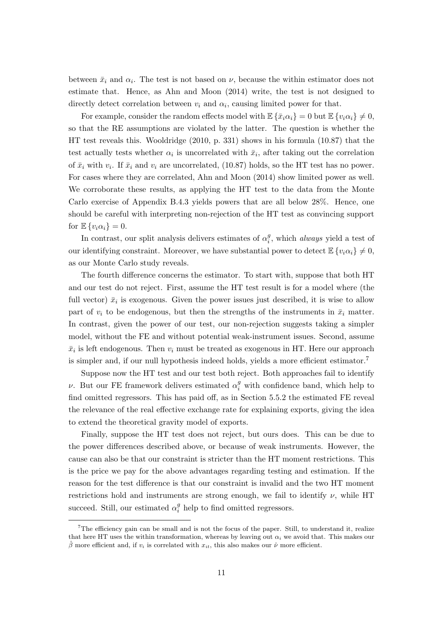between  $\bar{x}_i$  and  $\alpha_i$ . The test is not based on  $\nu$ , because the within estimator does not estimate that. Hence, as Ahn and Moon (2014) write, the test is not designed to directly detect correlation between  $v_i$  and  $\alpha_i$ , causing limited power for that.

For example, consider the random effects model with  $\mathbb{E}\left\{\bar{x}_i\alpha_i\right\}=0$  but  $\mathbb{E}\left\{v_i\alpha_i\right\}\neq 0$ , so that the RE assumptions are violated by the latter. The question is whether the HT test reveals this. Wooldridge (2010, p. 331) shows in his formula (10.87) that the test actually tests whether  $\alpha_i$  is uncorrelated with  $\bar{x}_i$ , after taking out the correlation of  $\bar{x}_i$  with  $v_i$ . If  $\bar{x}_i$  and  $v_i$  are uncorrelated, (10.87) holds, so the HT test has no power. For cases where they are correlated, Ahn and Moon (2014) show limited power as well. We corroborate these results, as applying the HT test to the data from the Monte Carlo exercise of Appendix B.4.3 yields powers that are all below 28%. Hence, one should be careful with interpreting non-rejection of the HT test as convincing support for  $\mathbb{E}\left\{v_i\alpha_i\right\}=0.$ 

In contrast, our split analysis delivers estimates of  $\alpha_i^g$  $i<sup>g</sup>$ , which *always* yield a test of our identifying constraint. Moreover, we have substantial power to detect  $\mathbb{E}\left\{v_i\alpha_i\right\}\neq 0$ , as our Monte Carlo study reveals.

The fourth difference concerns the estimator. To start with, suppose that both HT and our test do not reject. First, assume the HT test result is for a model where (the full vector)  $\bar{x}_i$  is exogenous. Given the power issues just described, it is wise to allow part of  $v_i$  to be endogenous, but then the strengths of the instruments in  $\bar{x}_i$  matter. In contrast, given the power of our test, our non-rejection suggests taking a simpler model, without the FE and without potential weak-instrument issues. Second, assume  $\bar{x}_i$  is left endogenous. Then  $v_i$  must be treated as exogenous in HT. Here our approach is simpler and, if our null hypothesis indeed holds, yields a more efficient estimator.<sup>7</sup>

Suppose now the HT test and our test both reject. Both approaches fail to identify *ν*. But our FE framework delivers estimated  $\alpha_i^g$  with confidence band, which help to find omitted regressors. This has paid off, as in Section 5.5.2 the estimated FE reveal the relevance of the real effective exchange rate for explaining exports, giving the idea to extend the theoretical gravity model of exports.

Finally, suppose the HT test does not reject, but ours does. This can be due to the power differences described above, or because of weak instruments. However, the cause can also be that our constraint is stricter than the HT moment restrictions. This is the price we pay for the above advantages regarding testing and estimation. If the reason for the test difference is that our constraint is invalid and the two HT moment restrictions hold and instruments are strong enough, we fail to identify  $\nu$ , while HT succeed. Still, our estimated  $\alpha_i^g$  $_i^g$  help to find omitted regressors.

<sup>7</sup>The efficiency gain can be small and is not the focus of the paper. Still, to understand it, realize that here HT uses the within transformation, whereas by leaving out  $\alpha_i$  we avoid that. This makes our  $\hat{\beta}$  more efficient and, if  $v_i$  is correlated with  $x_{it}$ , this also makes our  $\hat{\nu}$  more efficient.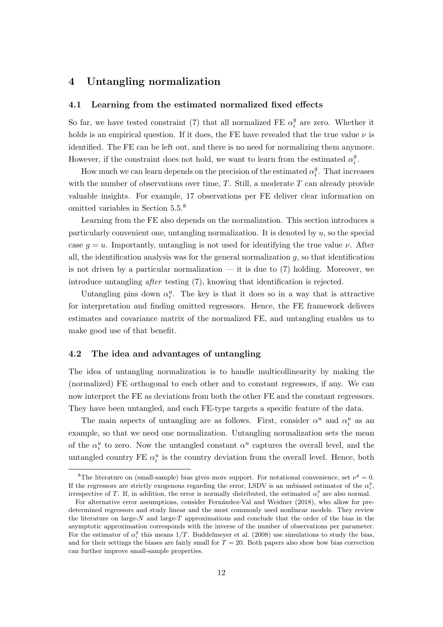## 4 Untangling normalization

#### 4.1 Learning from the estimated normalized fixed effects

So far, we have tested constraint (7) that all normalized FE  $\alpha_i^g$  $\frac{g}{i}$  are zero. Whether it holds is an empirical question. If it does, the FE have revealed that the true value  $\nu$  is identified. The FE can be left out, and there is no need for normalizing them anymore. However, if the constraint does not hold, we want to learn from the estimated  $\alpha_i^g$  $\frac{g}{i}$ .

How much we can learn depends on the precision of the estimated  $\alpha_i^g$  $i<sup>g</sup>$ . That increases with the number of observations over time,  $T$ . Still, a moderate  $T$  can already provide valuable insights. For example, 17 observations per FE deliver clear information on omitted variables in Section 5.5.<sup>8</sup>

Learning from the FE also depends on the normalization. This section introduces a particularly convenient one, untangling normalization. It is denoted by  $u$ , so the special case  $q = u$ . Importantly, untangling is not used for identifying the true value  $\nu$ . After all, the identification analysis was for the general normalization  $q$ , so that identification is not driven by a particular normalization — it is due to  $(7)$  holding. Moreover, we introduce untangling after testing (7), knowing that identification is rejected.

Untangling pins down  $\alpha_i^u$ . The key is that it does so in a way that is attractive for interpretation and finding omitted regressors. Hence, the FE framework delivers estimates and covariance matrix of the normalized FE, and untangling enables us to make good use of that benefit.

#### 4.2 The idea and advantages of untangling

The idea of untangling normalization is to handle multicollinearity by making the (normalized) FE orthogonal to each other and to constant regressors, if any. We can now interpret the FE as deviations from both the other FE and the constant regressors. They have been untangled, and each FE-type targets a specific feature of the data.

The main aspects of untangling are as follows. First, consider  $\alpha^u$  and  $\alpha_i^u$  as an example, so that we need one normalization. Untangling normalization sets the mean of the  $\alpha_i^u$  to zero. Now the untangled constant  $\alpha^u$  captures the overall level, and the untangled country FE  $\alpha_i^u$  is the country deviation from the overall level. Hence, both

<sup>&</sup>lt;sup>8</sup>The literature on (small-sample) bias gives more support. For notational convenience, set  $\nu^g = 0$ . If the regressors are strictly exogenous regarding the error, LSDV is an unbiased estimator of the  $\alpha_i^g$ , irrespective of T. If, in addition, the error is normally distributed, the estimated  $\alpha_i^g$  are also normal.

For alternative error assumptions, consider Fernández-Val and Weidner (2018), who allow for predetermined regressors and study linear and the most commonly used nonlinear models. They review the literature on large-N and large-T approximations and conclude that the order of the bias in the asymptotic approximation corresponds with the inverse of the number of observations per parameter. For the estimator of  $\alpha_i^g$  this means  $1/T$ . Buddelmeyer et al. (2008) use simulations to study the bias, and for their settings the biases are fairly small for  $T = 20$ . Both papers also show how bias correction can further improve small-sample properties.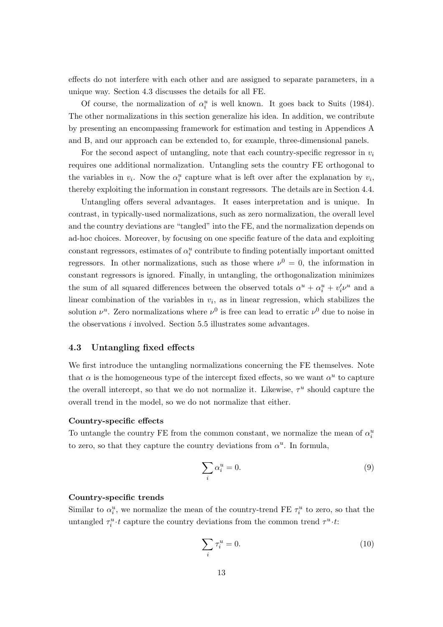effects do not interfere with each other and are assigned to separate parameters, in a unique way. Section 4.3 discusses the details for all FE.

Of course, the normalization of  $\alpha_i^u$  is well known. It goes back to Suits (1984). The other normalizations in this section generalize his idea. In addition, we contribute by presenting an encompassing framework for estimation and testing in Appendices A and B, and our approach can be extended to, for example, three-dimensional panels.

For the second aspect of untangling, note that each country-specific regressor in  $v_i$ requires one additional normalization. Untangling sets the country FE orthogonal to the variables in  $v_i$ . Now the  $\alpha_i^u$  capture what is left over after the explanation by  $v_i$ , thereby exploiting the information in constant regressors. The details are in Section 4.4.

Untangling offers several advantages. It eases interpretation and is unique. In contrast, in typically-used normalizations, such as zero normalization, the overall level and the country deviations are "tangled" into the FE, and the normalization depends on ad-hoc choices. Moreover, by focusing on one specific feature of the data and exploiting constant regressors, estimates of  $\alpha_i^u$  contribute to finding potentially important omitted regressors. In other normalizations, such as those where  $\nu^0 = 0$ , the information in constant regressors is ignored. Finally, in untangling, the orthogonalization minimizes the sum of all squared differences between the observed totals  $\alpha^u + \alpha_i^u + v_i' \nu^u$  and a linear combination of the variables in  $v_i$ , as in linear regression, which stabilizes the solution  $\nu^u$ . Zero normalizations where  $\nu^0$  is free can lead to erratic  $\nu^0$  due to noise in the observations i involved. Section 5.5 illustrates some advantages.

#### 4.3 Untangling fixed effects

We first introduce the untangling normalizations concerning the FE themselves. Note that  $\alpha$  is the homogeneous type of the intercept fixed effects, so we want  $\alpha^u$  to capture the overall intercept, so that we do not normalize it. Likewise,  $\tau^u$  should capture the overall trend in the model, so we do not normalize that either.

#### Country-specific effects

To untangle the country FE from the common constant, we normalize the mean of  $\alpha_i^u$ to zero, so that they capture the country deviations from  $\alpha^u$ . In formula,

$$
\sum_{i} \alpha_i^u = 0. \tag{9}
$$

#### Country-specific trends

Similar to  $\alpha_i^u$ , we normalize the mean of the country-trend FE  $\tau_i^u$  to zero, so that the untangled  $\tau_i^u \cdot t$  capture the country deviations from the common trend  $\tau^u \cdot t$ :

$$
\sum_{i} \tau_i^u = 0. \tag{10}
$$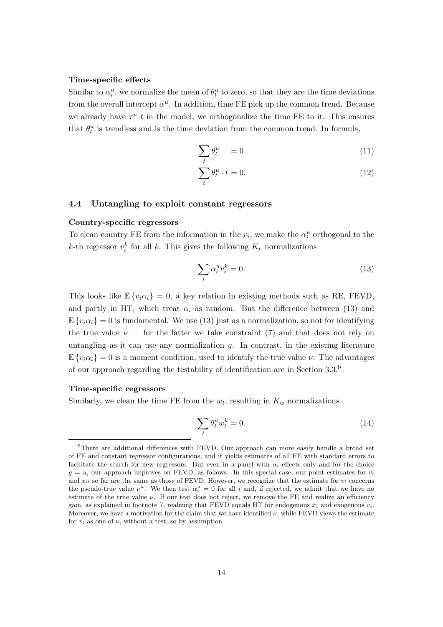#### Time-specific effects

Similar to  $\alpha_i^u$ , we normalize the mean of  $\theta_t^u$  to zero, so that they are the time deviations from the overall intercept  $\alpha^u$ . In addition, time FE pick up the common trend. Because we already have  $\tau^u \cdot t$  in the model, we orthogonalize the time FE to it. This ensures that  $\theta_t^u$  is trendless and is the time deviation from the common trend. In formula,

$$
\sum_{t} \theta_t^u = 0 \tag{11}
$$

$$
\sum_{t} \theta_t^u \cdot t = 0. \tag{12}
$$

#### 4.4 Untangling to exploit constant regressors

#### Country-specific regressors

To clean country FE from the information in the  $v_i$ , we make the  $\alpha_i^u$  orthogonal to the k-th regressor  $v_i^k$  for all k. This gives the following  $K_v$  normalizations

$$
\sum_{i} \alpha_i^u v_i^k = 0. \tag{13}
$$

This looks like  $\mathbb{E}\{v_i\alpha_i\} = 0$ , a key relation in existing methods such as RE, FEVD, and partly in HT, which treat  $\alpha_i$  as random. But the difference between (13) and  $\mathbb{E}\left\{v_i\alpha_i\right\}=0$  is fundamental. We use (13) just as a normalization, so not for identifying the true value  $\nu$  — for the latter we take constraint (7) and that does not rely on untangling as it can use any normalization  $g$ . In contrast, in the existing literature  $\mathbb{E}\left\{v_i\alpha_i\right\}=0$  is a moment condition, used to identify the true value  $\nu$ . The advantages of our approach regarding the testability of identification are in Section 3.3.<sup>9</sup>

#### Time-specific regressors

Similarly, we clean the time FE from the  $w_t$ , resulting in  $K_w$  normalizations

$$
\sum_{t} \theta_t^u w_t^k = 0. \tag{14}
$$

<sup>9</sup>There are additional differences with FEVD. Our approach can more easily handle a broad set of FE and constant regressor configurations, and it yields estimates of all FE with standard errors to facilitate the search for new regressors. But even in a panel with  $\alpha_i$  effects only and for the choice  $g = u$ , our approach improves on FEVD, as follows. In this special case, our point estimates for  $v_i$ and  $x_{it}$  so far are the same as those of FEVD. However, we recognize that the estimate for  $v_i$  concerns the pseudo-true value  $\nu^u$ . We then test  $\alpha_i^u = 0$  for all i and, if rejected, we admit that we have no estimate of the true value  $\nu$ . If our test does not reject, we remove the FE and realize an efficiency gain, as explained in footnote 7, realizing that FEVD equals HT for endogenous  $\bar{x}_i$  and exogenous  $v_i$ . Moreover, we have a motivation for the claim that we have identified  $\nu$ , while FEVD views the estimate for  $v_i$  as one of  $\nu$ , without a test, so by assumption.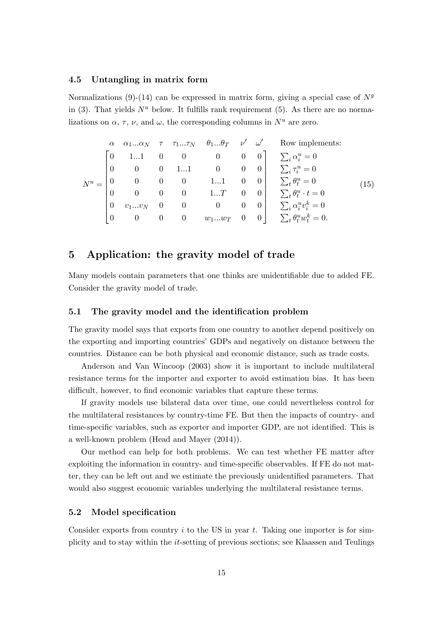#### 4.5 Untangling in matrix form

Normalizations (9)-(14) can be expressed in matrix form, giving a special case of  $N<sup>g</sup>$ in (3). That yields  $N^u$  below. It fulfills rank requirement (5). As there are no normalizations on  $\alpha$ ,  $\tau$ ,  $\nu$ , and  $\omega$ , the corresponding columns in  $N^u$  are zero.

$$
N^{u} = \begin{bmatrix} \alpha & \alpha_{1}...\alpha_{N} & \tau & \tau_{1}...\tau_{N} & \theta_{1}...\theta_{T} & \nu' & \omega' & \text{Row implements:} \\ 0 & 1...1 & 0 & 0 & 0 & 0 \\ 0 & 0 & 0 & 1...1 & 0 & 0 & 0 \\ 0 & 0 & 0 & 0 & 1...1 & 0 & 0 \\ 0 & 0 & 0 & 0 & 1...T & 0 & 0 \\ 0 & v_{1}...v_{N} & 0 & 0 & 0 & 0 & 0 \\ 0 & 0 & 0 & 0 & w_{1}...w_{T} & 0 & 0 \end{bmatrix} \begin{aligned} & \sum_{i} \alpha_{i}^{u} = 0 \\ & \sum_{i} \tau_{i}^{u} = 0 \\ & \sum_{i} \theta_{i}^{u} & t = 0 \\ & \sum_{i} \theta_{i}^{u} \cdot t = 0 \\ & \sum_{i} \alpha_{i}^{u} v_{i}^{k} = 0 \end{aligned} \tag{15}
$$

## 5 Application: the gravity model of trade

Many models contain parameters that one thinks are unidentifiable due to added FE. Consider the gravity model of trade.

#### 5.1 The gravity model and the identification problem

The gravity model says that exports from one country to another depend positively on the exporting and importing countries' GDPs and negatively on distance between the countries. Distance can be both physical and economic distance, such as trade costs.

Anderson and Van Wincoop (2003) show it is important to include multilateral resistance terms for the importer and exporter to avoid estimation bias. It has been difficult, however, to find economic variables that capture these terms.

If gravity models use bilateral data over time, one could nevertheless control for the multilateral resistances by country-time FE. But then the impacts of country- and time-specific variables, such as exporter and importer GDP, are not identified. This is a well-known problem (Head and Mayer (2014)).

Our method can help for both problems. We can test whether FE matter after exploiting the information in country- and time-specific observables. If FE do not matter, they can be left out and we estimate the previously unidentified parameters. That would also suggest economic variables underlying the multilateral resistance terms.

#### 5.2 Model specification

Consider exports from country  $i$  to the US in year  $t$ . Taking one importer is for simplicity and to stay within the it-setting of previous sections; see Klaassen and Teulings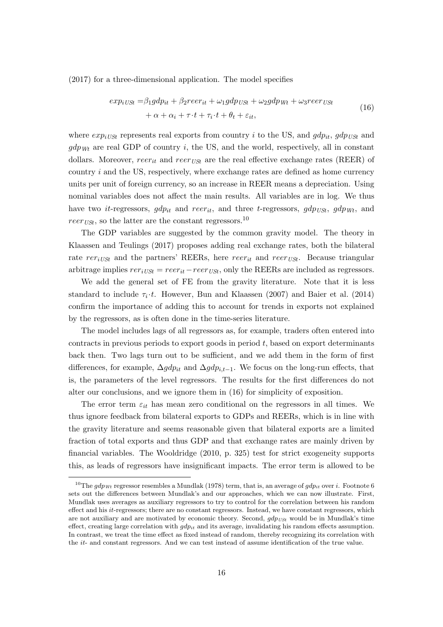(2017) for a three-dimensional application. The model specifies

$$
exp_{iUSt} = \beta_1 gdp_{it} + \beta_2 reer_{it} + \omega_1 gdp_{USt} + \omega_2 gdp_{Wt} + \omega_3 reer_{USt}
$$
  
+  $\alpha + \alpha_i + \tau \cdot t + \tau_i \cdot t + \theta_t + \varepsilon_{it}$ , (16)

where  $exp_{iUSt}$  represents real exports from country i to the US, and  $gdp_{it}$ ,  $gdp_{USt}$  and  $gdp_{Wt}$  are real GDP of country i, the US, and the world, respectively, all in constant dollars. Moreover, reer<sub>it</sub> and reer<sub>USt</sub> are the real effective exchange rates (REER) of country  $i$  and the US, respectively, where exchange rates are defined as home currency units per unit of foreign currency, so an increase in REER means a depreciation. Using nominal variables does not affect the main results. All variables are in log. We thus have two *it*-regressors,  $gdp_{it}$  and  $reer_{it}$ , and three *t*-regressors,  $gdp_{USt}$ ,  $gdp_{Wt}$ , and  $reer_{USt}$ , so the latter are the constant regressors.<sup>10</sup>

The GDP variables are suggested by the common gravity model. The theory in Klaassen and Teulings (2017) proposes adding real exchange rates, both the bilateral rate  $rer_{iUSt}$  and the partners' REERs, here  $reer_{it}$  and  $reer_{USt}$ . Because triangular arbitrage implies  $rer_{iUSt} = reer_{it} - reer_{USt}$ , only the REERs are included as regressors.

We add the general set of FE from the gravity literature. Note that it is less standard to include  $\tau_i \cdot t$ . However, Bun and Klaassen (2007) and Baier et al. (2014) confirm the importance of adding this to account for trends in exports not explained by the regressors, as is often done in the time-series literature.

The model includes lags of all regressors as, for example, traders often entered into contracts in previous periods to export goods in period  $t$ , based on export determinants back then. Two lags turn out to be sufficient, and we add them in the form of first differences, for example,  $\Delta g dp_{it}$  and  $\Delta g dp_{i,t-1}$ . We focus on the long-run effects, that is, the parameters of the level regressors. The results for the first differences do not alter our conclusions, and we ignore them in (16) for simplicity of exposition.

The error term  $\varepsilon_{it}$  has mean zero conditional on the regressors in all times. We thus ignore feedback from bilateral exports to GDPs and REERs, which is in line with the gravity literature and seems reasonable given that bilateral exports are a limited fraction of total exports and thus GDP and that exchange rates are mainly driven by financial variables. The Wooldridge (2010, p. 325) test for strict exogeneity supports this, as leads of regressors have insignificant impacts. The error term is allowed to be

<sup>&</sup>lt;sup>10</sup>The gdp<sub>Wt</sub> regressor resembles a Mundlak (1978) term, that is, an average of gdp<sub>it</sub> over i. Footnote 6 sets out the differences between Mundlak's and our approaches, which we can now illustrate. First, Mundlak uses averages as auxiliary regressors to try to control for the correlation between his random effect and his it-regressors; there are no constant regressors. Instead, we have constant regressors, which are not auxiliary and are motivated by economic theory. Second,  $qdp_{USt}$  would be in Mundlak's time effect, creating large correlation with  $qdp_{it}$  and its average, invalidating his random effects assumption. In contrast, we treat the time effect as fixed instead of random, thereby recognizing its correlation with the it- and constant regressors. And we can test instead of assume identification of the true value.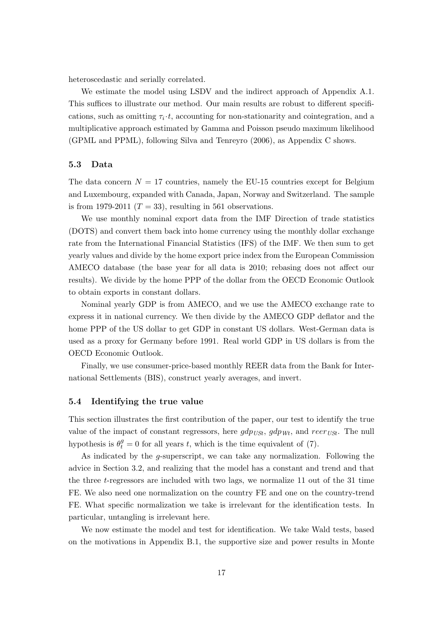heteroscedastic and serially correlated.

We estimate the model using LSDV and the indirect approach of Appendix A.1. This suffices to illustrate our method. Our main results are robust to different specifications, such as omitting  $\tau_i \cdot t$ , accounting for non-stationarity and cointegration, and a multiplicative approach estimated by Gamma and Poisson pseudo maximum likelihood (GPML and PPML), following Silva and Tenreyro (2006), as Appendix C shows.

#### 5.3 Data

The data concern  $N = 17$  countries, namely the EU-15 countries except for Belgium and Luxembourg, expanded with Canada, Japan, Norway and Switzerland. The sample is from 1979-2011 ( $T = 33$ ), resulting in 561 observations.

We use monthly nominal export data from the IMF Direction of trade statistics (DOTS) and convert them back into home currency using the monthly dollar exchange rate from the International Financial Statistics (IFS) of the IMF. We then sum to get yearly values and divide by the home export price index from the European Commission AMECO database (the base year for all data is 2010; rebasing does not affect our results). We divide by the home PPP of the dollar from the OECD Economic Outlook to obtain exports in constant dollars.

Nominal yearly GDP is from AMECO, and we use the AMECO exchange rate to express it in national currency. We then divide by the AMECO GDP deflator and the home PPP of the US dollar to get GDP in constant US dollars. West-German data is used as a proxy for Germany before 1991. Real world GDP in US dollars is from the OECD Economic Outlook.

Finally, we use consumer-price-based monthly REER data from the Bank for International Settlements (BIS), construct yearly averages, and invert.

#### 5.4 Identifying the true value

This section illustrates the first contribution of the paper, our test to identify the true value of the impact of constant regressors, here  $gdp_{USt}$ ,  $gdp_{Wt}$ , and  $reer_{USt}$ . The null hypothesis is  $\theta_t^g = 0$  for all years t, which is the time equivalent of (7).

As indicated by the g-superscript, we can take any normalization. Following the advice in Section 3.2, and realizing that the model has a constant and trend and that the three t-regressors are included with two lags, we normalize 11 out of the 31 time FE. We also need one normalization on the country FE and one on the country-trend FE. What specific normalization we take is irrelevant for the identification tests. In particular, untangling is irrelevant here.

We now estimate the model and test for identification. We take Wald tests, based on the motivations in Appendix B.1, the supportive size and power results in Monte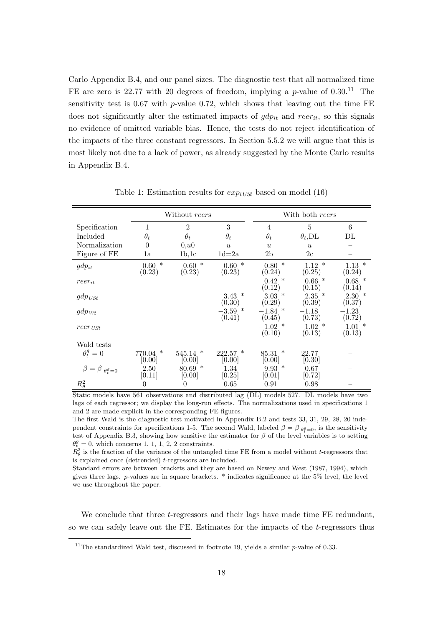Carlo Appendix B.4, and our panel sizes. The diagnostic test that all normalized time FE are zero is 22.77 with 20 degrees of freedom, implying a  $p$ -value of 0.30.<sup>11</sup> The sensitivity test is  $0.67$  with p-value  $0.72$ , which shows that leaving out the time FE does not significantly alter the estimated impacts of  $gdp_{it}$  and  $reer_{it}$ , so this signals no evidence of omitted variable bias. Hence, the tests do not reject identification of the impacts of the three constant regressors. In Section 5.5.2 we will argue that this is most likely not due to a lack of power, as already suggested by the Monte Carlo results in Appendix B.4.

|                               | Without reers            |                     |                     | With both reers          |                          |                          |
|-------------------------------|--------------------------|---------------------|---------------------|--------------------------|--------------------------|--------------------------|
| Specification                 | 1                        | $\overline{2}$      | 3                   | 4                        | 5                        | 6                        |
| Included                      | $\theta_t$               | $\theta_t$          | $\theta_t$          | $\theta_t$               | $\theta_t$ , DL          | DL                       |
| Normalization                 | $\theta$                 | 0, u0               | $\boldsymbol{u}$    | $\boldsymbol{u}$         | $\boldsymbol{u}$         |                          |
| Figure of FE                  | 1a                       | 1b,1c               | $1d=2a$             | 2 <sub>b</sub>           | 2c                       |                          |
| $gdp_{it}$                    | $\ast$<br>0.60<br>(0.23) | $0.60*$<br>(0.23)   | $0.60*$<br>(0.23)   | $\ast$<br>0.80<br>(0.24) | $\ast$<br>1.12<br>(0.25) | 1.13<br>$\ast$<br>(0.24) |
| $reer_{it}$                   |                          |                     |                     | $0.42\,$<br>∗<br>(0.12)  | $0.66*$<br>(0.15)        | $0.68*$<br>(0.14)        |
| $gdp_{USt}$                   |                          |                     | $3.43$ *<br>(0.30)  | $3.03*$<br>(0.29)        | $2.35$ *<br>(0.39)       | $2.30*$<br>(0.37)        |
| $gdp_{Wt}$                    |                          |                     | $-3.59$ *<br>(0.41) | $-1.84$ *<br>(0.45)      | $-1.18$<br>(0.73)        | $-1.23$<br>(0.72)        |
| $reer_{\textit{USt}}$         |                          |                     |                     | $-1.02$ *<br>(0.10)      | $-1.02$ *<br>(0.13)      | $-1.01$ *<br>(0.13)      |
| Wald tests                    |                          |                     |                     |                          |                          |                          |
| $\theta_t^g=0$                | $770.04$ *<br> 0.00      | $545.14$ *<br> 0.00 | $222.57$ *<br> 0.00 | $85.31*$<br> 0.00        | 22.77<br>[0.30]          |                          |
| $\beta=\beta _{\theta_t^g=0}$ | 2.50<br>[0.11]           | $80.69$ *<br>[0.00] | 1.34<br>[0.25]      | $9.93*$<br>[0.01]        | 0.67<br>[0.72]           |                          |
| $R^2_\theta$                  | 0                        | $\theta$            | 0.65                | 0.91                     | 0.98                     |                          |

Table 1: Estimation results for  $exp_{iLSS}$  based on model (16)

Static models have 561 observations and distributed lag (DL) models 527. DL models have two lags of each regressor; we display the long-run effects. The normalizations used in specifications 1 and 2 are made explicit in the corresponding FE figures.

The first Wald is the diagnostic test motivated in Appendix B.2 and tests 33, 31, 29, 28, 20 independent constraints for specifications 1-5. The second Wald, labeled  $\beta = \beta|_{\theta_i^g=0}$ , is the sensitivity test of Appendix B.3, showing how sensitive the estimator for  $\beta$  of the level variables is to setting  $\theta_t^g = 0$ , which concerns 1, 1, 1, 2, 2 constraints.

 $R_{\theta}^2$  is the fraction of the variance of the untangled time FE from a model without t-regressors that is explained once (detrended) t-regressors are included.

Standard errors are between brackets and they are based on Newey and West (1987, 1994), which gives three lags. p-values are in square brackets. \* indicates significance at the 5% level, the level we use throughout the paper.

We conclude that three t-regressors and their lags have made time FE redundant, so we can safely leave out the FE. Estimates for the impacts of the t-regressors thus

 $11$ The standardized Wald test, discussed in footnote 19, yields a similar *p*-value of 0.33.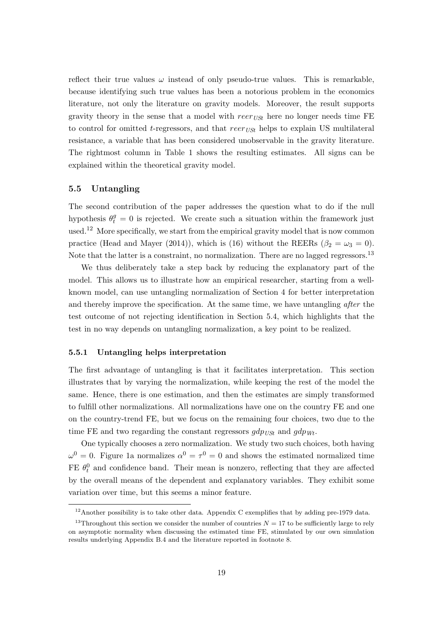reflect their true values  $\omega$  instead of only pseudo-true values. This is remarkable, because identifying such true values has been a notorious problem in the economics literature, not only the literature on gravity models. Moreover, the result supports gravity theory in the sense that a model with  $reer_{USt}$  here no longer needs time FE to control for omitted t-regressors, and that reer<sub>USt</sub> helps to explain US multilateral resistance, a variable that has been considered unobservable in the gravity literature. The rightmost column in Table 1 shows the resulting estimates. All signs can be explained within the theoretical gravity model.

#### 5.5 Untangling

The second contribution of the paper addresses the question what to do if the null hypothesis  $\theta_t^g = 0$  is rejected. We create such a situation within the framework just used.<sup>12</sup> More specifically, we start from the empirical gravity model that is now common practice (Head and Mayer (2014)), which is (16) without the REERs ( $\beta_2 = \omega_3 = 0$ ). Note that the latter is a constraint, no normalization. There are no lagged regressors.<sup>13</sup>

We thus deliberately take a step back by reducing the explanatory part of the model. This allows us to illustrate how an empirical researcher, starting from a wellknown model, can use untangling normalization of Section 4 for better interpretation and thereby improve the specification. At the same time, we have untangling after the test outcome of not rejecting identification in Section 5.4, which highlights that the test in no way depends on untangling normalization, a key point to be realized.

#### 5.5.1 Untangling helps interpretation

The first advantage of untangling is that it facilitates interpretation. This section illustrates that by varying the normalization, while keeping the rest of the model the same. Hence, there is one estimation, and then the estimates are simply transformed to fulfill other normalizations. All normalizations have one on the country FE and one on the country-trend FE, but we focus on the remaining four choices, two due to the time FE and two regarding the constant regressors  $gdp_{USt}$  and  $gdp_{Wt}$ .

One typically chooses a zero normalization. We study two such choices, both having  $\omega^0 = 0$ . Figure 1a normalizes  $\alpha^0 = \tau^0 = 0$  and shows the estimated normalized time FE  $\theta_t^0$  and confidence band. Their mean is nonzero, reflecting that they are affected by the overall means of the dependent and explanatory variables. They exhibit some variation over time, but this seems a minor feature.

 $12$ Another possibility is to take other data. Appendix C exemplifies that by adding pre-1979 data.

<sup>&</sup>lt;sup>13</sup>Throughout this section we consider the number of countries  $N = 17$  to be sufficiently large to rely on asymptotic normality when discussing the estimated time FE, stimulated by our own simulation results underlying Appendix B.4 and the literature reported in footnote 8.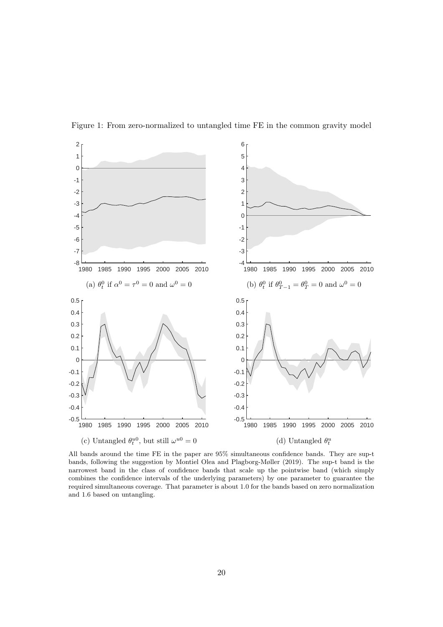

Figure 1: From zero-normalized to untangled time FE in the common gravity model

All bands around the time FE in the paper are 95% simultaneous confidence bands. They are sup-t bands, following the suggestion by Montiel Olea and Plagborg-Møller (2019). The sup-t band is the narrowest band in the class of confidence bands that scale up the pointwise band (which simply combines the confidence intervals of the underlying parameters) by one parameter to guarantee the required simultaneous coverage. That parameter is about 1.0 for the bands based on zero normalization and 1.6 based on untangling.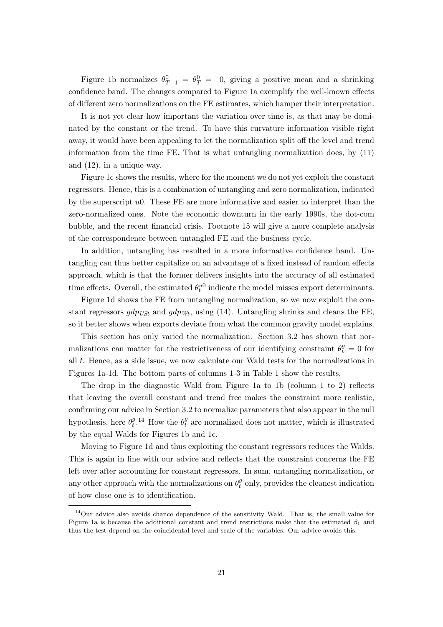Figure 1b normalizes  $\theta_{T-1}^0 = \theta_T^0 = 0$ , giving a positive mean and a shrinking confidence band. The changes compared to Figure 1a exemplify the well-known effects of different zero normalizations on the FE estimates, which hamper their interpretation.

It is not yet clear how important the variation over time is, as that may be dominated by the constant or the trend. To have this curvature information visible right away, it would have been appealing to let the normalization split off the level and trend information from the time FE. That is what untangling normalization does, by (11) and (12), in a unique way.

Figure 1c shows the results, where for the moment we do not yet exploit the constant regressors. Hence, this is a combination of untangling and zero normalization, indicated by the superscript u0. These FE are more informative and easier to interpret than the zero-normalized ones. Note the economic downturn in the early 1990s, the dot-com bubble, and the recent financial crisis. Footnote 15 will give a more complete analysis of the correspondence between untangled FE and the business cycle.

In addition, untangling has resulted in a more informative confidence band. Untangling can thus better capitalize on an advantage of a fixed instead of random effects approach, which is that the former delivers insights into the accuracy of all estimated time effects. Overall, the estimated  $\theta_t^{u0}$  indicate the model misses export determinants.

Figure 1d shows the FE from untangling normalization, so we now exploit the constant regressors  $gdp_{USt}$  and  $gdp_{Wt}$ , using (14). Untangling shrinks and cleans the FE, so it better shows when exports deviate from what the common gravity model explains.

This section has only varied the normalization. Section 3.2 has shown that normalizations can matter for the restrictiveness of our identifying constraint  $\theta_t^g = 0$  for all t. Hence, as a side issue, we now calculate our Wald tests for the normalizations in Figures 1a-1d. The bottom parts of columns 1-3 in Table 1 show the results.

The drop in the diagnostic Wald from Figure 1a to 1b (column 1 to 2) reflects that leaving the overall constant and trend free makes the constraint more realistic, confirming our advice in Section 3.2 to normalize parameters that also appear in the null hypothesis, here  $\theta_t^g$  $t^{g}$ .<sup>14</sup> How the  $\theta_t^g$  $t$ <sup>*g*</sup> are normalized does not matter, which is illustrated by the equal Walds for Figures 1b and 1c.

Moving to Figure 1d and thus exploiting the constant regressors reduces the Walds. This is again in line with our advice and reflects that the constraint concerns the FE left over after accounting for constant regressors. In sum, untangling normalization, or any other approach with the normalizations on  $\theta_t^g$  $t<sub>t</sub><sup>g</sup>$  only, provides the cleanest indication of how close one is to identification.

 $14$ Our advice also avoids chance dependence of the sensitivity Wald. That is, the small value for Figure 1a is because the additional constant and trend restrictions make that the estimated  $\beta_1$  and thus the test depend on the coincidental level and scale of the variables. Our advice avoids this.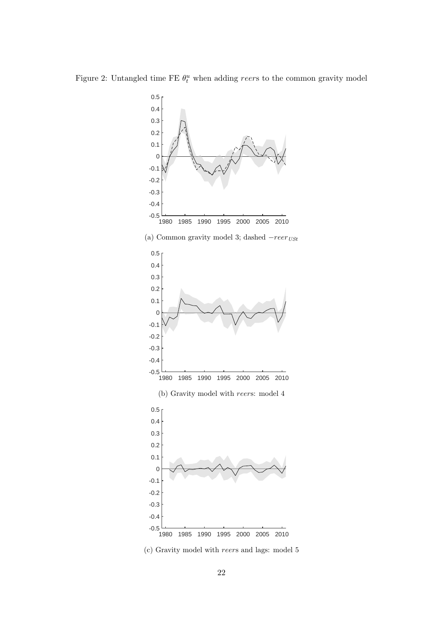Figure 2: Untangled time FE  $\theta_t^u$  when adding reers to the common gravity model



(c) Gravity model with reers and lags: model 5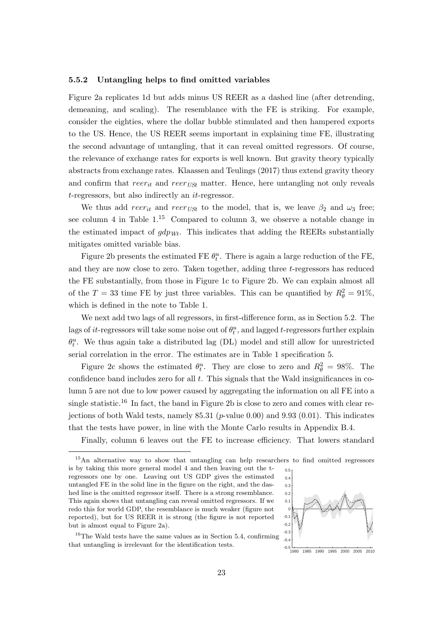#### 5.5.2 Untangling helps to find omitted variables

Figure 2a replicates 1d but adds minus US REER as a dashed line (after detrending, demeaning, and scaling). The resemblance with the FE is striking. For example, consider the eighties, where the dollar bubble stimulated and then hampered exports to the US. Hence, the US REER seems important in explaining time FE, illustrating the second advantage of untangling, that it can reveal omitted regressors. Of course, the relevance of exchange rates for exports is well known. But gravity theory typically abstracts from exchange rates. Klaassen and Teulings (2017) thus extend gravity theory and confirm that  $reer_{it}$  and  $reer_{USt}$  matter. Hence, here untangling not only reveals t-regressors, but also indirectly an it-regressor.

We thus add reer<sub>it</sub> and reer<sub>USt</sub> to the model, that is, we leave  $\beta_2$  and  $\omega_3$  free; see column 4 in Table  $1^{15}$  Compared to column 3, we observe a notable change in the estimated impact of  $gdp_{Wt}$ . This indicates that adding the REERs substantially mitigates omitted variable bias.

Figure 2b presents the estimated FE  $\theta_t^u$ . There is again a large reduction of the FE, and they are now close to zero. Taken together, adding three t-regressors has reduced the FE substantially, from those in Figure 1c to Figure 2b. We can explain almost all of the  $T = 33$  time FE by just three variables. This can be quantified by  $R_{\theta}^2 = 91\%$ , which is defined in the note to Table 1.

We next add two lags of all regressors, in first-difference form, as in Section 5.2. The lags of *it*-regressors will take some noise out of  $\theta_t^u$ , and lagged *t*-regressors further explain  $\theta_t^u$ . We thus again take a distributed lag (DL) model and still allow for unrestricted serial correlation in the error. The estimates are in Table 1 specification 5.

Figure 2c shows the estimated  $\theta_t^u$ . They are close to zero and  $R_{\theta}^2 = 98\%$ . The confidence band includes zero for all  $t$ . This signals that the Wald insignificances in column 5 are not due to low power caused by aggregating the information on all FE into a single statistic.<sup>16</sup> In fact, the band in Figure 2b is close to zero and comes with clear rejections of both Wald tests, namely  $85.31$  ( $p$ -value 0.00) and 9.93 (0.01). This indicates that the tests have power, in line with the Monte Carlo results in Appendix B.4.

Finally, column 6 leaves out the FE to increase efficiency. That lowers standard

<sup>&</sup>lt;sup>16</sup>The Wald tests have the same values as in Section 5.4, confirming that untangling is irrelevant for the identification tests.



1980 1985 1990 1995 2000 2005 2010

<sup>15</sup>An alternative way to show that untangling can help researchers to find omitted regressors  $-0.2$  $-0.1$  $\sqrt{10}$  $0.1$ 0.2 0.3 0.4 0.5 is by taking this more general model 4 and then leaving out the tregressors one by one. Leaving out US GDP gives the estimated untangled FE in the solid line in the figure on the right, and the dashed line is the omitted regressor itself. There is a strong resemblance. This again shows that untangling can reveal omitted regressors. If we redo this for world GDP, the resemblance is much weaker (figure not reported), but for US REER it is strong (the figure is not reported but is almost equal to Figure 2a).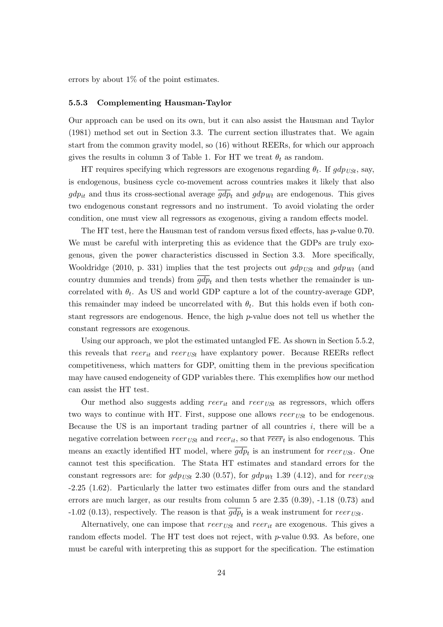errors by about  $1\%$  of the point estimates.

#### 5.5.3 Complementing Hausman-Taylor

Our approach can be used on its own, but it can also assist the Hausman and Taylor (1981) method set out in Section 3.3. The current section illustrates that. We again start from the common gravity model, so (16) without REERs, for which our approach gives the results in column 3 of Table 1. For HT we treat  $\theta_t$  as random.

HT requires specifying which regressors are exogenous regarding  $\theta_t$ . If  $gdp_{USt}$ , say, is endogenous, business cycle co-movement across countries makes it likely that also  $gdp_{it}$  and thus its cross-sectional average  $\overline{gdp}_t$  and  $gdp_{Wt}$  are endogenous. This gives two endogenous constant regressors and no instrument. To avoid violating the order condition, one must view all regressors as exogenous, giving a random effects model.

The HT test, here the Hausman test of random versus fixed effects, has *p*-value 0.70. We must be careful with interpreting this as evidence that the GDPs are truly exogenous, given the power characteristics discussed in Section 3.3. More specifically, Wooldridge (2010, p. 331) implies that the test projects out  $gdp_{USt}$  and  $gdp_{Wt}$  (and country dummies and trends) from  $\overline{gdp}_t$  and then tests whether the remainder is uncorrelated with  $\theta_t$ . As US and world GDP capture a lot of the country-average GDP, this remainder may indeed be uncorrelated with  $\theta_t$ . But this holds even if both constant regressors are endogenous. Hence, the high p-value does not tell us whether the constant regressors are exogenous.

Using our approach, we plot the estimated untangled FE. As shown in Section 5.5.2, this reveals that  $reer_{it}$  and  $reer_{USt}$  have explantory power. Because REERs reflect competitiveness, which matters for GDP, omitting them in the previous specification may have caused endogeneity of GDP variables there. This exemplifies how our method can assist the HT test.

Our method also suggests adding  $reer_{it}$  and  $reer_{USt}$  as regressors, which offers two ways to continue with HT. First, suppose one allows  $reerv_{U\mathcal{S}t}$  to be endogenous. Because the US is an important trading partner of all countries  $i$ , there will be a negative correlation between  $reerv_{USt}$  and  $reerv_{it}$ , so that  $\overline{reerv}_t$  is also endogenous. This means an exactly identified HT model, where  $gdp_t$  is an instrument for  $reerv_{USt}$ . One cannot test this specification. The Stata HT estimates and standard errors for the constant regressors are: for  $gdp_{USt}$  2.30 (0.57), for  $gdp_{Wt}$  1.39 (4.12), and for reer<sub>USt</sub> -2.25 (1.62). Particularly the latter two estimates differ from ours and the standard errors are much larger, as our results from column 5 are 2.35 (0.39), -1.18 (0.73) and -1.02 (0.13), respectively. The reason is that  $gdp_t$  is a weak instrument for  $reer_{USt}$ .

Alternatively, one can impose that  $reer_{USt}$  and  $reer_{it}$  are exogenous. This gives a random effects model. The HT test does not reject, with p-value 0.93. As before, one must be careful with interpreting this as support for the specification. The estimation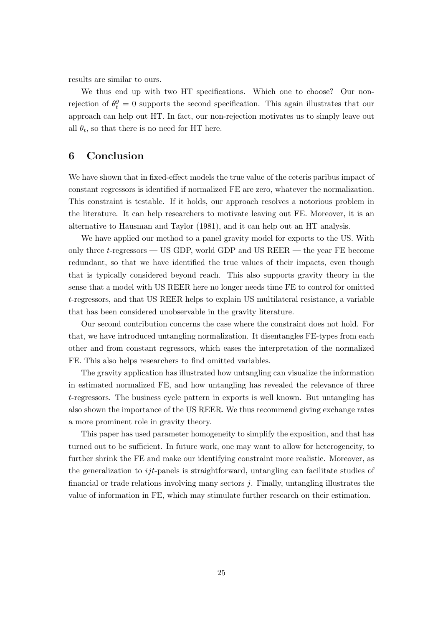results are similar to ours.

We thus end up with two HT specifications. Which one to choose? Our nonrejection of  $\theta_t^g = 0$  supports the second specification. This again illustrates that our approach can help out HT. In fact, our non-rejection motivates us to simply leave out all  $\theta_t$ , so that there is no need for HT here.

## 6 Conclusion

We have shown that in fixed-effect models the true value of the ceteris paribus impact of constant regressors is identified if normalized FE are zero, whatever the normalization. This constraint is testable. If it holds, our approach resolves a notorious problem in the literature. It can help researchers to motivate leaving out FE. Moreover, it is an alternative to Hausman and Taylor (1981), and it can help out an HT analysis.

We have applied our method to a panel gravity model for exports to the US. With only three t-regressors — US GDP, world GDP and US REER — the year FE become redundant, so that we have identified the true values of their impacts, even though that is typically considered beyond reach. This also supports gravity theory in the sense that a model with US REER here no longer needs time FE to control for omitted t-regressors, and that US REER helps to explain US multilateral resistance, a variable that has been considered unobservable in the gravity literature.

Our second contribution concerns the case where the constraint does not hold. For that, we have introduced untangling normalization. It disentangles FE-types from each other and from constant regressors, which eases the interpretation of the normalized FE. This also helps researchers to find omitted variables.

The gravity application has illustrated how untangling can visualize the information in estimated normalized FE, and how untangling has revealed the relevance of three t-regressors. The business cycle pattern in exports is well known. But untangling has also shown the importance of the US REER. We thus recommend giving exchange rates a more prominent role in gravity theory.

This paper has used parameter homogeneity to simplify the exposition, and that has turned out to be sufficient. In future work, one may want to allow for heterogeneity, to further shrink the FE and make our identifying constraint more realistic. Moreover, as the generalization to  $ijt$ -panels is straightforward, untangling can facilitate studies of financial or trade relations involving many sectors j. Finally, untangling illustrates the value of information in FE, which may stimulate further research on their estimation.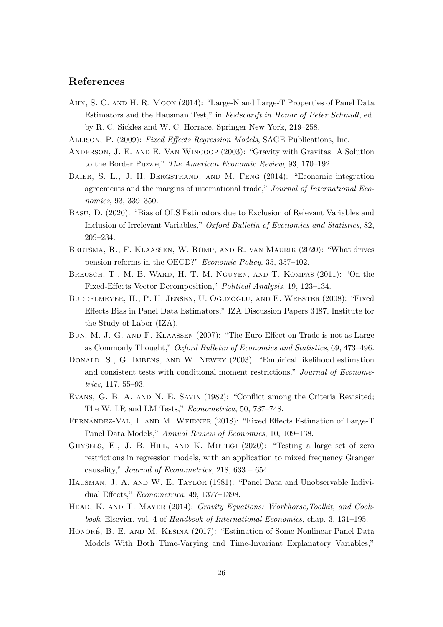## References

- Ahn, S. C. and H. R. Moon (2014): "Large-N and Large-T Properties of Panel Data Estimators and the Hausman Test," in Festschrift in Honor of Peter Schmidt, ed. by R. C. Sickles and W. C. Horrace, Springer New York, 219–258.
- Allison, P. (2009): Fixed Effects Regression Models, SAGE Publications, Inc.
- Anderson, J. E. and E. Van Wincoop (2003): "Gravity with Gravitas: A Solution to the Border Puzzle," The American Economic Review, 93, 170–192.
- BAIER, S. L., J. H. BERGSTRAND, AND M. FENG (2014): "Economic integration agreements and the margins of international trade," Journal of International Economics, 93, 339–350.
- Basu, D. (2020): "Bias of OLS Estimators due to Exclusion of Relevant Variables and Inclusion of Irrelevant Variables," Oxford Bulletin of Economics and Statistics, 82, 209–234.
- Beetsma, R., F. Klaassen, W. Romp, and R. van Maurik (2020): "What drives pension reforms in the OECD?" Economic Policy, 35, 357–402.
- Breusch, T., M. B. Ward, H. T. M. Nguyen, and T. Kompas (2011): "On the Fixed-Effects Vector Decomposition," Political Analysis, 19, 123–134.
- Buddelmeyer, H., P. H. Jensen, U. Oguzoglu, and E. Webster (2008): "Fixed Effects Bias in Panel Data Estimators," IZA Discussion Papers 3487, Institute for the Study of Labor (IZA).
- Bun, M. J. G. and F. Klaassen (2007): "The Euro Effect on Trade is not as Large as Commonly Thought," Oxford Bulletin of Economics and Statistics, 69, 473–496.
- Donald, S., G. Imbens, and W. Newey (2003): "Empirical likelihood estimation and consistent tests with conditional moment restrictions," Journal of Econometrics, 117, 55–93.
- Evans, G. B. A. and N. E. Savin (1982): "Conflict among the Criteria Revisited; The W, LR and LM Tests," Econometrica, 50, 737–748.
- FERNÁNDEZ-VAL, I. AND M. WEIDNER (2018): "Fixed Effects Estimation of Large-T Panel Data Models," Annual Review of Economics, 10, 109–138.
- Ghysels, E., J. B. Hill, and K. Motegi (2020): "Testing a large set of zero restrictions in regression models, with an application to mixed frequency Granger causality," Journal of Econometrics, 218, 633 – 654.
- Hausman, J. A. and W. E. Taylor (1981): "Panel Data and Unobservable Individual Effects," Econometrica, 49, 1377–1398.
- HEAD, K. AND T. MAYER (2014): *Gravity Equations: Workhorse,Toolkit, and Cook*book, Elsevier, vol. 4 of Handbook of International Economics, chap. 3, 131–195.
- HONORÉ, B. E. AND M. KESINA (2017): "Estimation of Some Nonlinear Panel Data Models With Both Time-Varying and Time-Invariant Explanatory Variables,"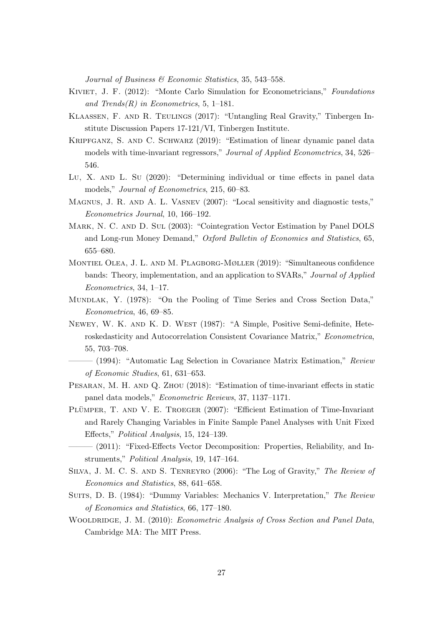Journal of Business & Economic Statistics, 35, 543–558.

- KIVIET, J. F. (2012): "Monte Carlo Simulation for Econometricians," Foundations and Trends $(R)$  in Econometrics, 5, 1–181.
- Klaassen, F. and R. Teulings (2017): "Untangling Real Gravity," Tinbergen Institute Discussion Papers 17-121/VI, Tinbergen Institute.
- Kripfganz, S. and C. Schwarz (2019): "Estimation of linear dynamic panel data models with time-invariant regressors," Journal of Applied Econometrics, 34, 526– 546.
- Lu, X. AND L. Su (2020): "Determining individual or time effects in panel data models," Journal of Econometrics, 215, 60–83.
- Magnus, J. R. and A. L. Vasnev (2007): "Local sensitivity and diagnostic tests," Econometrics Journal, 10, 166–192.
- Mark, N. C. and D. Sul (2003): "Cointegration Vector Estimation by Panel DOLS and Long-run Money Demand," Oxford Bulletin of Economics and Statistics, 65, 655–680.
- Montiel Olea, J. L. and M. Plagborg-Møller (2019): "Simultaneous confidence bands: Theory, implementation, and an application to SVARs," Journal of Applied Econometrics, 34, 1–17.
- Mundlak, Y. (1978): "On the Pooling of Time Series and Cross Section Data," Econometrica, 46, 69–85.
- Newey, W. K. and K. D. West (1987): "A Simple, Positive Semi-definite, Heteroskedasticity and Autocorrelation Consistent Covariance Matrix," Econometrica, 55, 703–708.
- $-$  (1994): "Automatic Lag Selection in Covariance Matrix Estimation," Review of Economic Studies, 61, 631–653.
- PESARAN, M. H. AND Q. ZHOU (2018): "Estimation of time-invariant effects in static panel data models," Econometric Reviews, 37, 1137–1171.
- PLÜMPER, T. AND V. E. TROEGER (2007): "Efficient Estimation of Time-Invariant and Rarely Changing Variables in Finite Sample Panel Analyses with Unit Fixed Effects," Political Analysis, 15, 124–139.
- (2011): "Fixed-Effects Vector Decomposition: Properties, Reliability, and Instruments," Political Analysis, 19, 147–164.
- Silva, J. M. C. S. and S. Tenreyro (2006): "The Log of Gravity," The Review of Economics and Statistics, 88, 641–658.
- SUITS, D. B. (1984): "Dummy Variables: Mechanics V. Interpretation," The Review of Economics and Statistics, 66, 177–180.
- WOOLDRIDGE, J. M. (2010): Econometric Analysis of Cross Section and Panel Data, Cambridge MA: The MIT Press.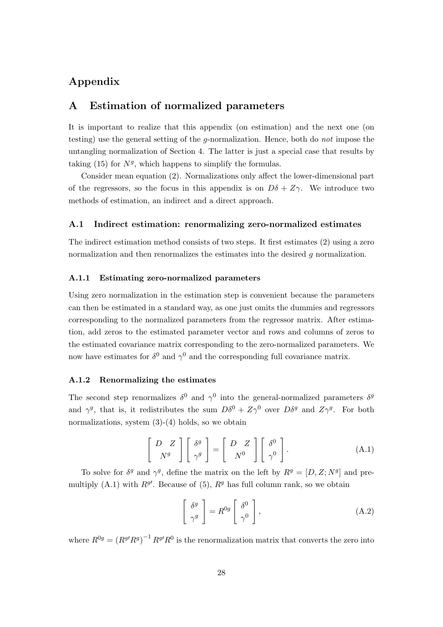## Appendix

## A Estimation of normalized parameters

It is important to realize that this appendix (on estimation) and the next one (on testing) use the general setting of the g-normalization. Hence, both do not impose the untangling normalization of Section 4. The latter is just a special case that results by taking (15) for  $N<sup>g</sup>$ , which happens to simplify the formulas.

Consider mean equation (2). Normalizations only affect the lower-dimensional part of the regressors, so the focus in this appendix is on  $D\delta + Z\gamma$ . We introduce two methods of estimation, an indirect and a direct approach.

#### A.1 Indirect estimation: renormalizing zero-normalized estimates

The indirect estimation method consists of two steps. It first estimates (2) using a zero normalization and then renormalizes the estimates into the desired g normalization.

#### A.1.1 Estimating zero-normalized parameters

Using zero normalization in the estimation step is convenient because the parameters can then be estimated in a standard way, as one just omits the dummies and regressors corresponding to the normalized parameters from the regressor matrix. After estimation, add zeros to the estimated parameter vector and rows and columns of zeros to the estimated covariance matrix corresponding to the zero-normalized parameters. We now have estimates for  $\delta^0$  and  $\gamma^0$  and the corresponding full covariance matrix.

#### A.1.2 Renormalizing the estimates

The second step renormalizes  $\delta^0$  and  $\gamma^0$  into the general-normalized parameters  $\delta^g$ and  $\gamma^g$ , that is, it redistributes the sum  $D\delta^0 + Z\gamma^0$  over  $D\delta^g$  and  $Z\gamma^g$ . For both normalizations, system  $(3)-(4)$  holds, so we obtain

$$
\left[\begin{array}{c}D & Z \\ N^g\end{array}\right]\left[\begin{array}{c}\delta^g \\ \gamma^g\end{array}\right] = \left[\begin{array}{c}D & Z \\ N^0\end{array}\right]\left[\begin{array}{c}\delta^0 \\ \gamma^0\end{array}\right].\tag{A.1}
$$

To solve for  $\delta^g$  and  $\gamma^g$ , define the matrix on the left by  $R^g = [D, Z; N^g]$  and premultiply  $(A.1)$  with  $R^{g}$ . Because of  $(5)$ ,  $R^g$  has full column rank, so we obtain

$$
\left[\begin{array}{c} \delta^g \\ \gamma^g \end{array}\right] = R^{0g} \left[\begin{array}{c} \delta^0 \\ \gamma^0 \end{array}\right],\tag{A.2}
$$

where  $R^{0g} = (R^{g}R^{g})^{-1}R^{g}R^{0}$  is the renormalization matrix that converts the zero into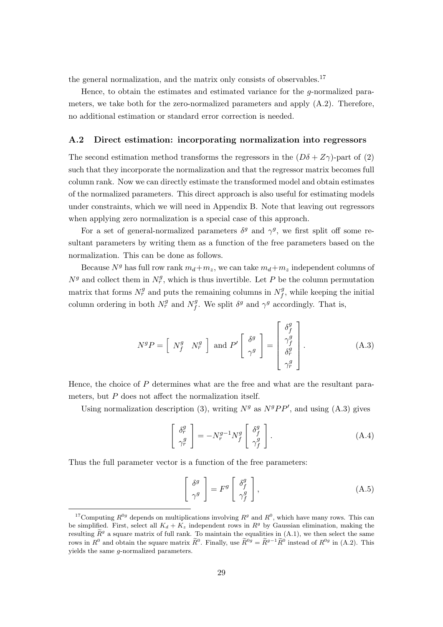the general normalization, and the matrix only consists of observables.<sup>17</sup>

Hence, to obtain the estimates and estimated variance for the g-normalized parameters, we take both for the zero-normalized parameters and apply (A.2). Therefore, no additional estimation or standard error correction is needed.

#### A.2 Direct estimation: incorporating normalization into regressors

The second estimation method transforms the regressors in the  $(D\delta + Z\gamma)$ -part of (2) such that they incorporate the normalization and that the regressor matrix becomes full column rank. Now we can directly estimate the transformed model and obtain estimates of the normalized parameters. This direct approach is also useful for estimating models under constraints, which we will need in Appendix B. Note that leaving out regressors when applying zero normalization is a special case of this approach.

For a set of general-normalized parameters  $\delta^g$  and  $\gamma^g$ , we first split off some resultant parameters by writing them as a function of the free parameters based on the normalization. This can be done as follows.

Because  $N<sup>g</sup>$  has full row rank  $m_d+m_z$ , we can take  $m_d+m_z$  independent columns of  $N<sup>g</sup>$  and collect them in  $N_r^g$ , which is thus invertible. Let P be the column permutation matrix that forms  $N_r^g$  and puts the remaining columns in  $N_f^g$  $f_f^g$ , while keeping the initial column ordering in both  $N_r^g$  and  $N_f^g$ <sup>g</sup>. We split  $\delta^g$  and  $\gamma^g$  accordingly. That is,

$$
N^{g}P = \begin{bmatrix} N_f^g & N_r^g \end{bmatrix} \text{ and } P' \begin{bmatrix} \delta^g \\ \gamma^g \\ \gamma^g \end{bmatrix} = \begin{bmatrix} \delta_f^g \\ \gamma_f^g \\ \delta_r^g \\ \gamma_r^g \end{bmatrix} . \tag{A.3}
$$

Hence, the choice of P determines what are the free and what are the resultant parameters, but P does not affect the normalization itself.

Using normalization description (3), writing  $N<sup>g</sup>$  as  $N<sup>g</sup>PP'$ , and using (A.3) gives

$$
\begin{bmatrix} \delta_r^g \\ \gamma_r^g \end{bmatrix} = -N_r^{g-1} N_f^g \begin{bmatrix} \delta_f^g \\ \gamma_f^g \end{bmatrix} . \tag{A.4}
$$

Thus the full parameter vector is a function of the free parameters:

$$
\left[\begin{array}{c} \delta^g \\ \gamma^g \end{array}\right] = F^g \left[\begin{array}{c} \delta^g_f \\ \gamma^g_f \end{array}\right],\tag{A.5}
$$

<sup>&</sup>lt;sup>17</sup>Computing  $R^{0g}$  depends on multiplications involving  $R^g$  and  $R^0$ , which have many rows. This can be simplified. First, select all  $K_d + K_z$  independent rows in  $R<sup>g</sup>$  by Gaussian elimination, making the resulting  $\widetilde{R}^g$  a square matrix of full rank. To maintain the equalities in  $(A.1)$ , we then select the same rows in  $R^0$  and obtain the square matrix  $\widetilde{R}^0$ . Finally, use  $\widetilde{R}^{0g} = \widetilde{R}^{g-1}\widetilde{R}^0$  instead of  $R^{0g}$  in (A.2). This yields the same g-normalized parameters.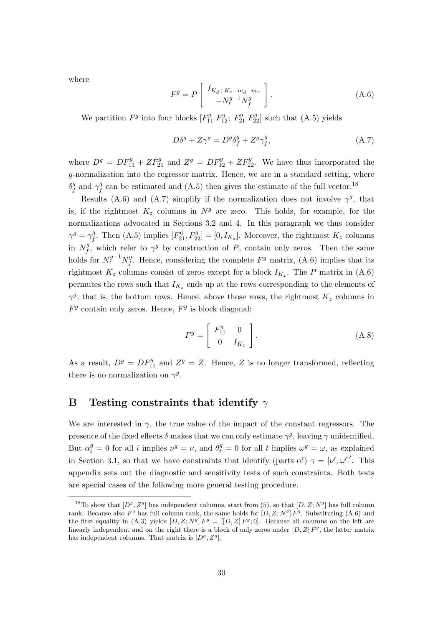where

$$
F^g = P \begin{bmatrix} I_{K_d + K_z - m_d - m_z} \\ -N_r^{g-1} N_f^g \end{bmatrix} .
$$
 (A.6)

We partition  $F^g$  into four blocks  $[F_{11}^g F_{12}^g; F_{21}^g F_{22}^g]$  such that (A.5) yields

$$
D\delta^g + Z\gamma^g = D^g \delta^g_f + Z^g \gamma^g_f,\tag{A.7}
$$

where  $D^g = DF_{11}^g + ZF_{21}^g$  and  $Z^g = DF_{12}^g + ZF_{22}^g$ . We have thus incorporated the g-normalization into the regressor matrix. Hence, we are in a standard setting, where  $\delta_f^g$  $\int_f^g$  and  $\gamma_f^g$  $\frac{g}{f}$  can be estimated and (A.5) then gives the estimate of the full vector.<sup>18</sup>

Results (A.6) and (A.7) simplify if the normalization does not involve  $\gamma^g$ , that is, if the rightmost  $K_z$  columns in  $N<sup>g</sup>$  are zero. This holds, for example, for the normalizations advocated in Sections 3.2 and 4. In this paragraph we thus consider  $\gamma^g = \gamma^g_{\scriptscriptstyle f}$ <sup>g</sup>. Then (A.5) implies  $[F_{21}^g, F_{22}^g] = [0, I_{K_z}]$ . Moreover, the rightmost  $K_z$  columns in  $N_f^g$  $f^g$ , which refer to  $\gamma^g$  by construction of P, contain only zeros. Then the same holds for  $N_r^{g-1} N_f^g$  $f<sup>g</sup>$ . Hence, considering the complete  $F<sup>g</sup>$  matrix, (A.6) implies that its rightmost  $K_z$  columns consist of zeros except for a block  $I_{K_z}$ . The P matrix in (A.6) permutes the rows such that  $I_{K_z}$  ends up at the rows corresponding to the elements of  $\gamma^g$ , that is, the bottom rows. Hence, above those rows, the rightmost  $K_z$  columns in  $F<sup>g</sup>$  contain only zeros. Hence,  $F<sup>g</sup>$  is block diagonal:

$$
F^g = \left[ \begin{array}{cc} F_{11}^g & 0 \\ 0 & I_{K_z} \end{array} \right].
$$
 (A.8)

As a result,  $D^g = DF_{11}^g$  and  $Z^g = Z$ . Hence, Z is no longer transformed, reflecting there is no normalization on  $\gamma^g$ .

## B Testing constraints that identify  $\gamma$

We are interested in  $\gamma$ , the true value of the impact of the constant regressors. The presence of the fixed effects  $\delta$  makes that we can only estimate  $\gamma^g$ , leaving  $\gamma$  unidentified. But  $\alpha_i^g = 0$  for all i implies  $\nu^g = \nu$ , and  $\theta_t^g = 0$  for all t implies  $\omega^g = \omega$ , as explained in Section 3.1, so that we have constraints that identify (parts of)  $\gamma = [\nu', \omega']'$ . This appendix sets out the diagnostic and sensitivity tests of such constraints. Both tests are special cases of the following more general testing procedure.

<sup>&</sup>lt;sup>18</sup>To show that  $[D^g, Z^g]$  has independent columns, start from (5), so that  $[D, Z; N^g]$  has full column rank. Because also  $F<sup>g</sup>$  has full column rank, the same holds for  $[D, Z; N<sup>g</sup>] F<sup>g</sup>$ . Substituting  $(A.6)$  and the first equality in (A.3) yields  $[D, Z; N<sup>g</sup>] F<sup>g</sup> = [[D, Z] F<sup>g</sup>; 0]$ . Because all columns on the left are linearly independent and on the right there is a block of only zeros under  $[D, Z]$   $F<sup>g</sup>$ , the latter matrix has independent columns. That matrix is  $[D<sup>g</sup>, Z<sup>g</sup>]$ .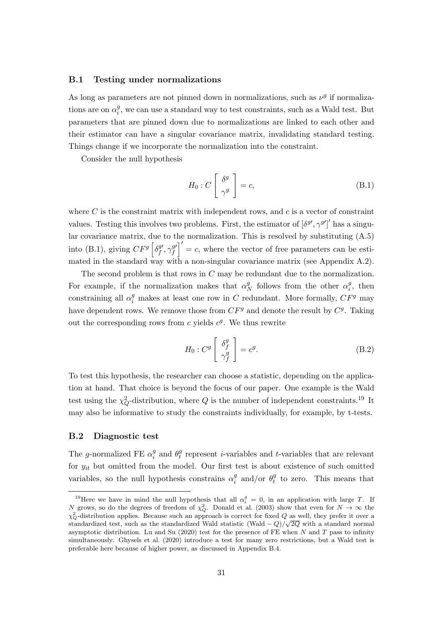#### B.1 Testing under normalizations

As long as parameters are not pinned down in normalizations, such as  $\nu<sup>g</sup>$  if normalizations are on  $\alpha_i^g$  $i<sub>i</sub>$ , we can use a standard way to test constraints, such as a Wald test. But parameters that are pinned down due to normalizations are linked to each other and their estimator can have a singular covariance matrix, invalidating standard testing. Things change if we incorporate the normalization into the constraint.

Consider the null hypothesis

$$
H_0: C\left[\begin{array}{c} \delta^g \\ \gamma^g \end{array}\right] = c,\tag{B.1}
$$

where  $C$  is the constraint matrix with independent rows, and  $c$  is a vector of constraint values. Testing this involves two problems. First, the estimator of  $\left[\delta^{g\prime},\gamma^{g\prime}\right]$  has a singular covariance matrix, due to the normalization. This is resolved by substituting (A.5) into (B.1), giving  $CF^g \left[ \delta_f^{g \prime} \right]$  $\mathcal{F}_f^{g\prime}, \gamma_f^{g\prime}$  $\left(f\right)^{g'}=c$ , where the vector of free parameters can be estimated in the standard way with a non-singular covariance matrix (see Appendix A.2).

The second problem is that rows in C may be redundant due to the normalization. For example, if the normalization makes that  $\alpha_{\ell}^g$  $N \nvert N$  follows from the other  $\alpha_i^g$  $i^g$ , then constraining all  $\alpha_i^g$  makes at least one row in C redundant. More formally,  $CF^g$  may have dependent rows. We remove those from  $CF<sup>g</sup>$  and denote the result by  $C<sup>g</sup>$ . Taking out the corresponding rows from  $c$  yields  $c<sup>g</sup>$ . We thus rewrite

$$
H_0: C^g \left[ \begin{array}{c} \delta_f^g \\ \gamma_f^g \end{array} \right] = c^g. \tag{B.2}
$$

To test this hypothesis, the researcher can choose a statistic, depending on the application at hand. That choice is beyond the focus of our paper. One example is the Wald test using the  $\chi^2_Q$ -distribution, where  $Q$  is the number of independent constraints.<sup>19</sup> It may also be informative to study the constraints individually, for example, by t-tests.

#### B.2 Diagnostic test

The g-normalized FE  $\alpha_i^g$  $_i^g$  and  $\theta_i^g$  $t_t$  represent *i*-variables and *t*-variables that are relevant for  $y_{it}$  but omitted from the model. Our first test is about existence of such omitted variables, so the null hypothesis constrains  $\alpha_i^g$  $\frac{g}{i}$  and/or  $\theta_t^g$  $t_t^g$  to zero. This means that

<sup>&</sup>lt;sup>19</sup>Here we have in mind the null hypothesis that all  $\alpha_i^g = 0$ , in an application with large T. If N grows, so do the degrees of freedom of  $\chi_Q^2$ . Donald et al. (2003) show that even for  $N \to \infty$  the  $\chi^2$ -distribution applies. Because such an approach is correct for fixed Q as well, they prefer it over a standardized test, such as the standardized Wald statistic (Wald  $-Q$ )/ $\sqrt{2Q}$  with a standard normal asymptotic distribution. Lu and Su  $(2020)$  test for the presence of FE when N and T pass to infinity simultaneously. Ghysels et al. (2020) introduce a test for many zero restrictions, but a Wald test is preferable here because of higher power, as discussed in Appendix B.4.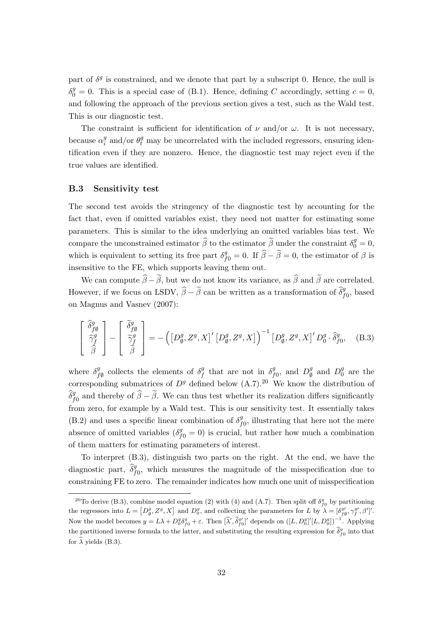part of  $\delta^g$  is constrained, and we denote that part by a subscript 0. Hence, the null is  $\delta_0^g = 0$ . This is a special case of (B.1). Hence, defining C accordingly, setting  $c = 0$ , and following the approach of the previous section gives a test, such as the Wald test. This is our diagnostic test.

The constraint is sufficient for identification of  $\nu$  and/or  $\omega$ . It is not necessary, because  $\alpha_i^g$  $\frac{g}{i}$  and/or  $\theta_t^g$  may be uncorrelated with the included regressors, ensuring identification even if they are nonzero. Hence, the diagnostic test may reject even if the true values are identified.

#### B.3 Sensitivity test

The second test avoids the stringency of the diagnostic test by accounting for the fact that, even if omitted variables exist, they need not matter for estimating some parameters. This is similar to the idea underlying an omitted variables bias test. We compare the unconstrained estimator  $\widehat{\beta}$  to the estimator  $\widetilde{\beta}$  under the constraint  $\delta_0^g = 0$ , which is equivalent to setting its free part  $\delta_{f0}^g = 0$ . If  $\hat{\beta} - \tilde{\beta} = 0$ , the estimator of  $\beta$  is insensitive to the FE, which supports leaving them out.

We can compute  $\widehat{\beta}-\widetilde{\beta}$ , but we do not know its variance, as  $\widehat{\beta}$  and  $\widetilde{\beta}$  are correlated. However, if we focus on LSDV,  $\hat{\beta} - \tilde{\beta}$  can be written as a transformation of  $\hat{\delta}_{f0}^g$ , based on Magnus and Vasnev (2007):

$$
\begin{bmatrix}\n\hat{\delta}^g_{f\emptyset} \\
\hat{\gamma}^g_f \\
\hat{\beta}\n\end{bmatrix} - \begin{bmatrix}\n\tilde{\delta}^g_{f\emptyset} \\
\tilde{\gamma}^g_f \\
\tilde{\beta}\n\end{bmatrix} = - (\begin{bmatrix} D^g_{\emptyset}, Z^g, X \end{bmatrix}' \begin{bmatrix} D^g_{\emptyset}, Z^g, X \end{bmatrix}')^{-1} \begin{bmatrix} D^g_{\emptyset}, Z^g, X \end{bmatrix}' D^g_0 \cdot \hat{\delta}^g_{f0}, \quad (B.3)
$$

where  $\delta^g_{\mu}$  $f_{f\emptyset}^g$  collects the elements of  $\delta_f^g$  $\int_{f}^{g}$  that are not in  $\delta_{f}^{g}$  $L_{f0}^g$ , and  $D_{\emptyset}^g$  $\mathcal{Q}$ <sup>g</sup> and  $D_0^g$  $\frac{g}{0}$  are the corresponding submatrices of  $D<sup>g</sup>$  defined below  $(A.7).^{20}$  We know the distribution of  $\hat{\delta}_{f0}^g$  and thereby of  $\hat{\beta}-\tilde{\beta}$ . We can thus test whether its realization differs significantly from zero, for example by a Wald test. This is our sensitivity test. It essentially takes  $(B.2)$  and uses a specific linear combination of  $\delta_t^g$  $_{f0}^{g}$ , illustrating that here not the mere absence of omitted variables  $(\delta_{f0}^g = 0)$  is crucial, but rather how much a combination of them matters for estimating parameters of interest.

To interpret (B.3), distinguish two parts on the right. At the end, we have the diagnostic part,  $\hat{\delta}_{f0}^g$ , which measures the magnitude of the misspecification due to constraining FE to zero. The remainder indicates how much one unit of misspecification

<sup>&</sup>lt;sup>20</sup>To derive (B.3), combine model equation (2) with (4) and (A.7). Then split off  $\delta_{f0}^g$  by partitioning the regressors into  $L = [D_\emptyset^g, Z^g, X]$  and  $D_\emptyset^g$ , and collecting the parameters for L by  $\lambda = [\delta_{f\emptyset}^{g'}, \gamma_f^{g'}, \beta']'.$ Now the model becomes  $y = L\lambda + D_0^g \delta_{f0}^g + \varepsilon$ . Then  $[\hat{\lambda}', \hat{\delta}_{f0}^{g'}]$ ' depends on  $([L, D_0^g]' [L, D_0^g])^{-1}$ . Applying the partitioned inverse formula to the latter, and substituting the resulting expression for  $\hat{\delta}_{f0}^{g}$  into that for  $\widehat{\lambda}$  yields (B.3).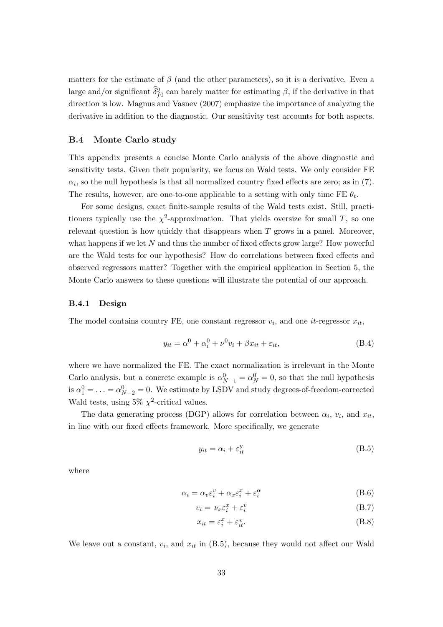matters for the estimate of  $\beta$  (and the other parameters), so it is a derivative. Even a large and/or significant  $\widehat{\delta}_{f0}^g$  can barely matter for estimating  $\beta$ , if the derivative in that direction is low. Magnus and Vasnev (2007) emphasize the importance of analyzing the derivative in addition to the diagnostic. Our sensitivity test accounts for both aspects.

#### B.4 Monte Carlo study

This appendix presents a concise Monte Carlo analysis of the above diagnostic and sensitivity tests. Given their popularity, we focus on Wald tests. We only consider FE  $\alpha_i$ , so the null hypothesis is that all normalized country fixed effects are zero; as in (7). The results, however, are one-to-one applicable to a setting with only time FE  $\theta_t$ .

For some designs, exact finite-sample results of the Wald tests exist. Still, practitioners typically use the  $\chi^2$ -approximation. That yields oversize for small T, so one relevant question is how quickly that disappears when  $T$  grows in a panel. Moreover, what happens if we let  $N$  and thus the number of fixed effects grow large? How powerful are the Wald tests for our hypothesis? How do correlations between fixed effects and observed regressors matter? Together with the empirical application in Section 5, the Monte Carlo answers to these questions will illustrate the potential of our approach.

#### B.4.1 Design

The model contains country FE, one constant regressor  $v_i$ , and one *it*-regressor  $x_{it}$ ,

$$
y_{it} = \alpha^0 + \alpha_i^0 + \nu^0 v_i + \beta x_{it} + \varepsilon_{it},
$$
\n(B.4)

where we have normalized the FE. The exact normalization is irrelevant in the Monte Carlo analysis, but a concrete example is  $\alpha_{N-1}^0 = \alpha_N^0 = 0$ , so that the null hypothesis is  $\alpha_1^0 = \ldots = \alpha_{N-2}^0 = 0$ . We estimate by LSDV and study degrees-of-freedom-corrected Wald tests, using  $5\% \chi^2$ -critical values.

The data generating process (DGP) allows for correlation between  $\alpha_i$ ,  $v_i$ , and  $x_{it}$ , in line with our fixed effects framework. More specifically, we generate

$$
y_{it} = \alpha_i + \varepsilon_{it}^y \tag{B.5}
$$

where

$$
\alpha_i = \alpha_v \varepsilon_i^v + \alpha_x \varepsilon_i^x + \varepsilon_i^\alpha \tag{B.6}
$$

$$
v_i = \nu_x \varepsilon_i^x + \varepsilon_i^v \tag{B.7}
$$

$$
x_{it} = \varepsilon_i^x + \varepsilon_{it}^x. \tag{B.8}
$$

We leave out a constant,  $v_i$ , and  $x_{it}$  in  $(B.5)$ , because they would not affect our Wald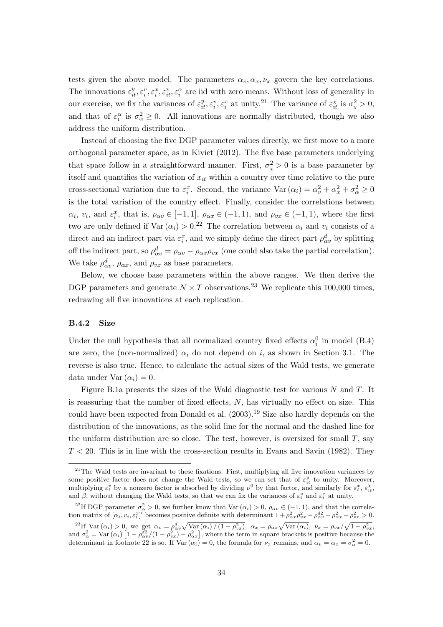tests given the above model. The parameters  $\alpha_v, \alpha_x, \nu_x$  govern the key correlations. The innovations  $\varepsilon_{it}^y, \varepsilon_i^x, \varepsilon_{it}^x, \varepsilon_i^x$  are iid with zero means. Without loss of generality in our exercise, we fix the variances of  $\varepsilon_{it}^y, \varepsilon_i^x, \varepsilon_i^x$  at unity.<sup>21</sup> The variance of  $\varepsilon_{it}^x$  is  $\sigma_x^2 > 0$ , and that of  $\varepsilon_i^{\alpha}$  is  $\sigma_{\alpha}^2 \geq 0$ . All innovations are normally distributed, though we also address the uniform distribution.

Instead of choosing the five DGP parameter values directly, we first move to a more orthogonal parameter space, as in Kiviet (2012). The five base parameters underlying that space follow in a straightforward manner. First,  $\sigma_{\chi}^2 > 0$  is a base parameter by itself and quantifies the variation of  $x_{it}$  within a country over time relative to the pure cross-sectional variation due to  $\varepsilon_i^x$ . Second, the variance  $\text{Var}(\alpha_i) = \alpha_v^2 + \alpha_x^2 + \sigma_\alpha^2 \geq 0$ is the total variation of the country effect. Finally, consider the correlations between  $\alpha_i, v_i$ , and  $\varepsilon_i^x$ , that is,  $\rho_{\alpha v} \in [-1, 1]$ ,  $\rho_{\alpha x} \in (-1, 1)$ , and  $\rho_{vx} \in (-1, 1)$ , where the first two are only defined if  $Var(\alpha_i) > 0.^{22}$  The correlation between  $\alpha_i$  and  $v_i$  consists of a direct and an indirect part via  $\varepsilon_i^x$ , and we simply define the direct part  $\rho_{\alpha v}^d$  by splitting off the indirect part, so  $\rho_{\alpha v}^d = \rho_{\alpha v} - \rho_{\alpha x} \rho_{vx}$  (one could also take the partial correlation). We take  $\rho_{\alpha v}^d$ ,  $\rho_{\alpha x}$ , and  $\rho_{vx}$  as base parameters.

Below, we choose base parameters within the above ranges. We then derive the DGP parameters and generate  $N \times T$  observations.<sup>23</sup> We replicate this 100,000 times, redrawing all five innovations at each replication.

#### B.4.2 Size

Under the null hypothesis that all normalized country fixed effects  $\alpha_i^0$  in model (B.4) are zero, the (non-normalized)  $\alpha_i$  do not depend on i, as shown in Section 3.1. The reverse is also true. Hence, to calculate the actual sizes of the Wald tests, we generate data under Var $(\alpha_i) = 0$ .

Figure B.1a presents the sizes of the Wald diagnostic test for various  $N$  and  $T$ . It is reassuring that the number of fixed effects, N, has virtually no effect on size. This could have been expected from Donald et al. (2003).<sup>19</sup> Size also hardly depends on the distribution of the innovations, as the solid line for the normal and the dashed line for the uniform distribution are so close. The test, however, is oversized for small  $T$ , say  $T < 20$ . This is in line with the cross-section results in Evans and Savin (1982). They

 $21$ The Wald tests are invariant to these fixations. First, multiplying all five innovation variances by some positive factor does not change the Wald tests, so we can set that of  $\varepsilon_{it}^y$  to unity. Moreover, multiplying  $\varepsilon_i^v$  by a nonzero factor is absorbed by dividing  $\nu^0$  by that factor, and similarly for  $\varepsilon_i^x$ ,  $\varepsilon_{it}^{\chi}$ , and  $\beta$ , without changing the Wald tests, so that we can fix the variances of  $\varepsilon_i^v$  and  $\varepsilon_i^x$  at unity.

<sup>&</sup>lt;sup>22</sup>If DGP parameter  $\sigma_{\alpha}^2 > 0$ , we further know that Var  $(\alpha_i) > 0$ ,  $\rho_{\alpha v} \in (-1, 1)$ , and that the correlation matrix of  $[\alpha_i, v_i, \varepsilon_i^x]'$  becomes positive definite with determinant  $1 + \rho_{\alpha x}^2 \rho_{vx}^2 - \rho_{\alpha y}^{d2} - \rho_{\alpha x}^2 - \rho_{vx}^2 > 0$ .

<sup>&</sup>lt;sup>23</sup>If Var  $(\alpha_i) > 0$ , we get  $\alpha_v = \rho_{\alpha v}^d \sqrt{\text{Var}(\alpha_i)/(1-\rho_{vx}^2)}$ ,  $\alpha_x = \rho_{\alpha x} \sqrt{\text{Var}(\alpha_i)}$ ,  $\nu_x = \rho_{vx} / \sqrt{1-\rho_{vx}^2}$ , and  $\sigma_{\alpha}^2 = \text{Var}(\alpha_i) \left[1 - \rho_{\alpha\nu}^{22}/(1 - \rho_{\nu x}^{2}) - \rho_{\alpha x}^{2}\right]$ , where the term in square brackets is positive because the determinant in footnote 22 is so. If  $\text{Var}(\alpha_i) = 0$ , the formula for  $\nu_x$  remains, and  $\alpha_v = \alpha_x = \sigma_{\alpha}^2 = 0$ .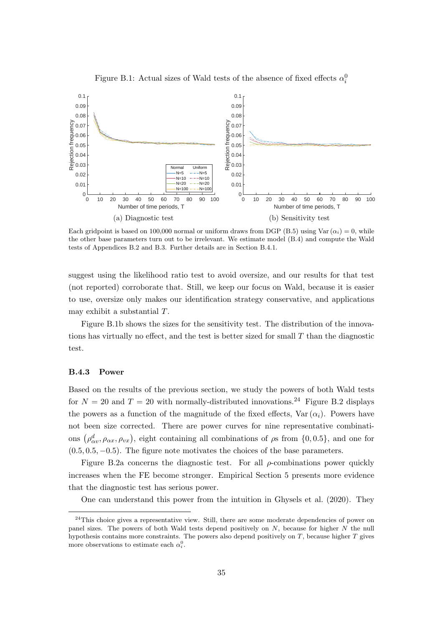

Figure B.1: Actual sizes of Wald tests of the absence of fixed effects  $\alpha_i^0$ 

Each gridpoint is based on 100,000 normal or uniform draws from DGP (B.5) using Var  $(\alpha_i) = 0$ , while the other base parameters turn out to be irrelevant. We estimate model (B.4) and compute the Wald tests of Appendices B.2 and B.3. Further details are in Section B.4.1.

suggest using the likelihood ratio test to avoid oversize, and our results for that test (not reported) corroborate that. Still, we keep our focus on Wald, because it is easier to use, oversize only makes our identification strategy conservative, and applications may exhibit a substantial T.

Figure B.1b shows the sizes for the sensitivity test. The distribution of the innovations has virtually no effect, and the test is better sized for small  $T$  than the diagnostic test.

#### B.4.3 Power

Based on the results of the previous section, we study the powers of both Wald tests for  $N = 20$  and  $T = 20$  with normally-distributed innovations.<sup>24</sup> Figure B.2 displays the powers as a function of the magnitude of the fixed effects,  $Var(\alpha_i)$ . Powers have not been size corrected. There are power curves for nine representative combinations  $(\rho^d_{\alpha v}, \rho_{\alpha x}, \rho_{vx}),$  eight containing all combinations of  $\rho$ s from  $\{0, 0.5\}$ , and one for  $(0.5, 0.5, -0.5)$ . The figure note motivates the choices of the base parameters.

Figure B.2a concerns the diagnostic test. For all  $\rho$ -combinations power quickly increases when the FE become stronger. Empirical Section 5 presents more evidence that the diagnostic test has serious power.

One can understand this power from the intuition in Ghysels et al. (2020). They

<sup>&</sup>lt;sup>24</sup>This choice gives a representative view. Still, there are some moderate dependencies of power on panel sizes. The powers of both Wald tests depend positively on N, because for higher N the null hypothesis contains more constraints. The powers also depend positively on  $T$ , because higher  $T$  gives more observations to estimate each  $\alpha_i^0$ .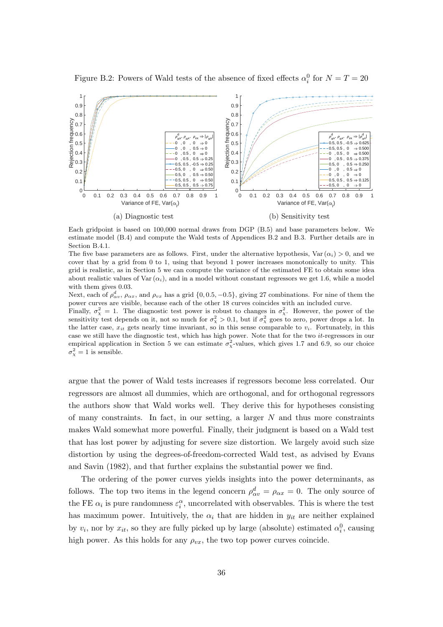

Figure B.2: Powers of Wald tests of the absence of fixed effects  $\alpha_i^0$  for  $N = T = 20$ 

Each gridpoint is based on 100,000 normal draws from DGP (B.5) and base parameters below. We estimate model (B.4) and compute the Wald tests of Appendices B.2 and B.3. Further details are in Section B.4.1.

The five base parameters are as follows. First, under the alternative hypothesis, Var $(\alpha_i) > 0$ , and we cover that by a grid from 0 to 1, using that beyond 1 power increases monotonically to unity. This grid is realistic, as in Section 5 we can compute the variance of the estimated FE to obtain some idea about realistic values of Var $(\alpha_i)$ , and in a model without constant regressors we get 1.6, while a model with them gives 0.03.

Next, each of  $\rho_{\alpha v}^d$ ,  $\rho_{\alpha x}$ , and  $\rho_{vx}$  has a grid  $\{0, 0.5, -0.5\}$ , giving 27 combinations. For nine of them the power curves are visible, because each of the other 18 curves coincides with an included curve.

Finally,  $\sigma_{\chi}^2 = 1$ . The diagnostic test power is robust to changes in  $\sigma_{\chi}^2$ . However, the power of the sensitivity test depends on it, not so much for  $\sigma_{\chi}^2 > 0.1$ , but if  $\sigma_{\chi}^2$  goes to zero, power drops a lot. In the latter case,  $x_{it}$  gets nearly time invariant, so in this sense comparable to  $v_i$ . Fortunately, in this case we still have the diagnostic test, which has high power. Note that for the two it-regressors in our empirical application in Section 5 we can estimate  $\sigma_{\chi}^2$ -values, which gives 1.7 and 6.9, so our choice  $\sigma_{\chi}^2 = 1$  is sensible.

argue that the power of Wald tests increases if regressors become less correlated. Our regressors are almost all dummies, which are orthogonal, and for orthogonal regressors the authors show that Wald works well. They derive this for hypotheses consisting of many constraints. In fact, in our setting, a larger  $N$  and thus more constraints makes Wald somewhat more powerful. Finally, their judgment is based on a Wald test that has lost power by adjusting for severe size distortion. We largely avoid such size distortion by using the degrees-of-freedom-corrected Wald test, as advised by Evans and Savin (1982), and that further explains the substantial power we find.

The ordering of the power curves yields insights into the power determinants, as follows. The top two items in the legend concern  $\rho_{\alpha v}^d = \rho_{\alpha x} = 0$ . The only source of the FE  $\alpha_i$  is pure randomness  $\varepsilon_i^{\alpha}$ , uncorrelated with observables. This is where the test has maximum power. Intuitively, the  $\alpha_i$  that are hidden in  $y_{it}$  are neither explained by  $v_i$ , nor by  $x_{it}$ , so they are fully picked up by large (absolute) estimated  $\alpha_i^0$ , causing high power. As this holds for any  $\rho_{vx}$ , the two top power curves coincide.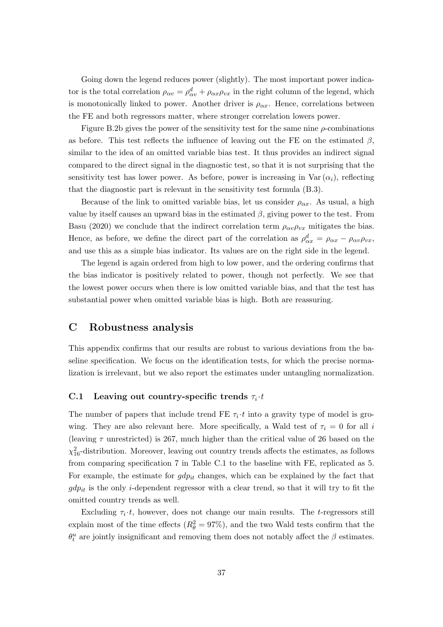Going down the legend reduces power (slightly). The most important power indicator is the total correlation  $\rho_{\alpha v} = \rho_{\alpha v}^d + \rho_{\alpha x} \rho_{vx}$  in the right column of the legend, which is monotonically linked to power. Another driver is  $\rho_{\alpha x}$ . Hence, correlations between the FE and both regressors matter, where stronger correlation lowers power.

Figure B.2b gives the power of the sensitivity test for the same nine  $\rho$ -combinations as before. This test reflects the influence of leaving out the FE on the estimated  $\beta$ , similar to the idea of an omitted variable bias test. It thus provides an indirect signal compared to the direct signal in the diagnostic test, so that it is not surprising that the sensitivity test has lower power. As before, power is increasing in Var $(\alpha_i)$ , reflecting that the diagnostic part is relevant in the sensitivity test formula (B.3).

Because of the link to omitted variable bias, let us consider  $\rho_{\alpha x}$ . As usual, a high value by itself causes an upward bias in the estimated  $\beta$ , giving power to the test. From Basu (2020) we conclude that the indirect correlation term  $\rho_{\alpha v} \rho_{vx}$  mitigates the bias. Hence, as before, we define the direct part of the correlation as  $\rho_{\alpha x}^d = \rho_{\alpha x} - \rho_{\alpha v} \rho_{vx}$ , and use this as a simple bias indicator. Its values are on the right side in the legend.

The legend is again ordered from high to low power, and the ordering confirms that the bias indicator is positively related to power, though not perfectly. We see that the lowest power occurs when there is low omitted variable bias, and that the test has substantial power when omitted variable bias is high. Both are reassuring.

## C Robustness analysis

This appendix confirms that our results are robust to various deviations from the baseline specification. We focus on the identification tests, for which the precise normalization is irrelevant, but we also report the estimates under untangling normalization.

## C.1 Leaving out country-specific trends  $\tau_i \cdot t$

The number of papers that include trend FE  $\tau_i \cdot t$  into a gravity type of model is growing. They are also relevant here. More specifically, a Wald test of  $\tau_i = 0$  for all i (leaving  $\tau$  unrestricted) is 267, much higher than the critical value of 26 based on the  $\chi^2_{16}$ -distribution. Moreover, leaving out country trends affects the estimates, as follows from comparing specification 7 in Table C.1 to the baseline with FE, replicated as 5. For example, the estimate for  $gdp_{it}$  changes, which can be explained by the fact that  $gdp_{it}$  is the only *i*-dependent regressor with a clear trend, so that it will try to fit the omitted country trends as well.

Excluding  $\tau_i \cdot t$ , however, does not change our main results. The *t*-regressors still explain most of the time effects  $(R_{\theta}^2 = 97\%)$ , and the two Wald tests confirm that the  $\theta_t^u$  are jointly insignificant and removing them does not notably affect the  $\beta$  estimates.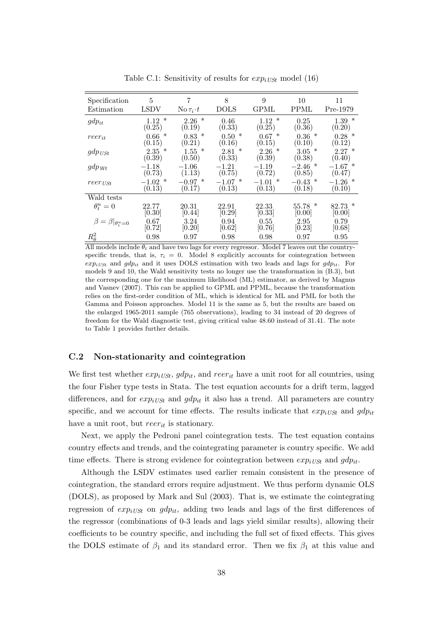| Specification<br>Estimation   | 5<br>LSDV                | 7<br>No $\tau_i \cdot t$ | 8<br>DOLS                | 9<br>GPML                   | 10<br>PPML                  | 11<br>Pre-1979              |
|-------------------------------|--------------------------|--------------------------|--------------------------|-----------------------------|-----------------------------|-----------------------------|
| $gdp_{it}$                    | $\ast$<br>1.12<br>(0.25) | $\ast$<br>2.26<br>(0.19) | 0.46<br>(0.33)           | $\ast$<br>1.12<br>(0.25)    | 0.25<br>(0.36)              | $1.39*$<br>(0.20)           |
| $reer_{it}$                   | ∗<br>0.66<br>(0.15)      | $\ast$<br>0.83<br>(0.21) | $\ast$<br>0.50<br>(0.16) | $\ast$<br>0.67<br>(0.15)    | $\ast$<br>0.36<br>(0.10)    | $0.28*$<br>(0.12)           |
| $gdp_{USt}$                   | $\ast$<br>2.35<br>(0.39) | ∗<br>1.55<br>(0.50)      | $\ast$<br>2.81<br>(0.33) | $\ast$<br>2.26<br>(0.39)    | ∗<br>3.05<br>(0.38)         | $2.27*$<br>(0.40)           |
| $gdp_{Wt}$                    | $-1.18$<br>(0.73)        | $-1.06$<br>(1.13)        | $-1.21$<br>(0.75)        | $-1.19$<br>(0.72)           | $\ast$<br>$-2.46$<br>(0.85) | $\ast$<br>$-1.67$<br>(0.47) |
| $reer_{USt}$                  | ∗<br>$-1.02$<br>(0.13)   | ∗<br>$-0.97$<br>(0.17)   | ∗<br>$-1.07$<br>(0.13)   | ∗<br>$-1.01$<br>(0.13)      | ∗<br>$-0.43$<br>(0.18)      | $-1.26$ *<br>(0.10)         |
| Wald tests                    |                          |                          |                          |                             |                             |                             |
| $\theta_t^u=0$                | 22.77<br>[0.30]          | 20.31<br>[0.44]          | 22.91<br>[0.29]          | 22.33<br>[0.33]             | ∗<br>55.78<br>[0.00]        | $82.73*$<br>[0.00]          |
| $\beta=\beta _{\theta_t^u=0}$ | 0.67<br>[0.72]           | 3.24<br>[0.20]           | 0.94<br>[0.62]           | 0.55<br>$\left[0.76\right]$ | 2.95<br>[0.23]              | 0.79<br>[0.68]              |
| $R^2_\theta$                  | 0.98                     | 0.97                     | 0.98                     | 0.98                        | 0.97                        | 0.95                        |

Table C.1: Sensitivity of results for  $exp_{iUSt}$  model (16)

All models include  $\theta_t$  and have two lags for every regressor. Model 7 leaves out the countryspecific trends, that is,  $\tau_i = 0$ . Model 8 explicitly accounts for cointegration between  $exp_{iUSt}$  and  $gdp_{it}$  and it uses DOLS estimation with two leads and lags for  $gdp_{it}$ . For models 9 and 10, the Wald sensitivity tests no longer use the transformation in (B.3), but the corresponding one for the maximum likelihood (ML) estimator, as derived by Magnus and Vasnev (2007). This can be applied to GPML and PPML, because the transformation relies on the first-order condition of ML, which is identical for ML and PML for both the Gamma and Poisson approaches. Model 11 is the same as 5, but the results are based on the enlarged 1965-2011 sample (765 observations), leading to 34 instead of 20 degrees of freedom for the Wald diagnostic test, giving critical value 48.60 instead of 31.41. The note to Table 1 provides further details.

#### C.2 Non-stationarity and cointegration

We first test whether  $exp_{iUSt}$ ,  $gdp_{it}$ , and  $reer_{it}$  have a unit root for all countries, using the four Fisher type tests in Stata. The test equation accounts for a drift term, lagged differences, and for  $exp_{iUSt}$  and  $gdp_{it}$  it also has a trend. All parameters are country specific, and we account for time effects. The results indicate that  $exp_{iI\cup St}$  and  $qdp_{it}$ have a unit root, but  $reer_{it}$  is stationary.

Next, we apply the Pedroni panel cointegration tests. The test equation contains country effects and trends, and the cointegrating parameter is country specific. We add time effects. There is strong evidence for cointegration between  $exp_{iU\!S\!H}$  and  $gdp_{it}$ .

Although the LSDV estimates used earlier remain consistent in the presence of cointegration, the standard errors require adjustment. We thus perform dynamic OLS (DOLS), as proposed by Mark and Sul (2003). That is, we estimate the cointegrating regression of  $exp_{iUSt}$  on  $gdp_{it}$ , adding two leads and lags of the first differences of the regressor (combinations of 0-3 leads and lags yield similar results), allowing their coefficients to be country specific, and including the full set of fixed effects. This gives the DOLS estimate of  $\beta_1$  and its standard error. Then we fix  $\beta_1$  at this value and